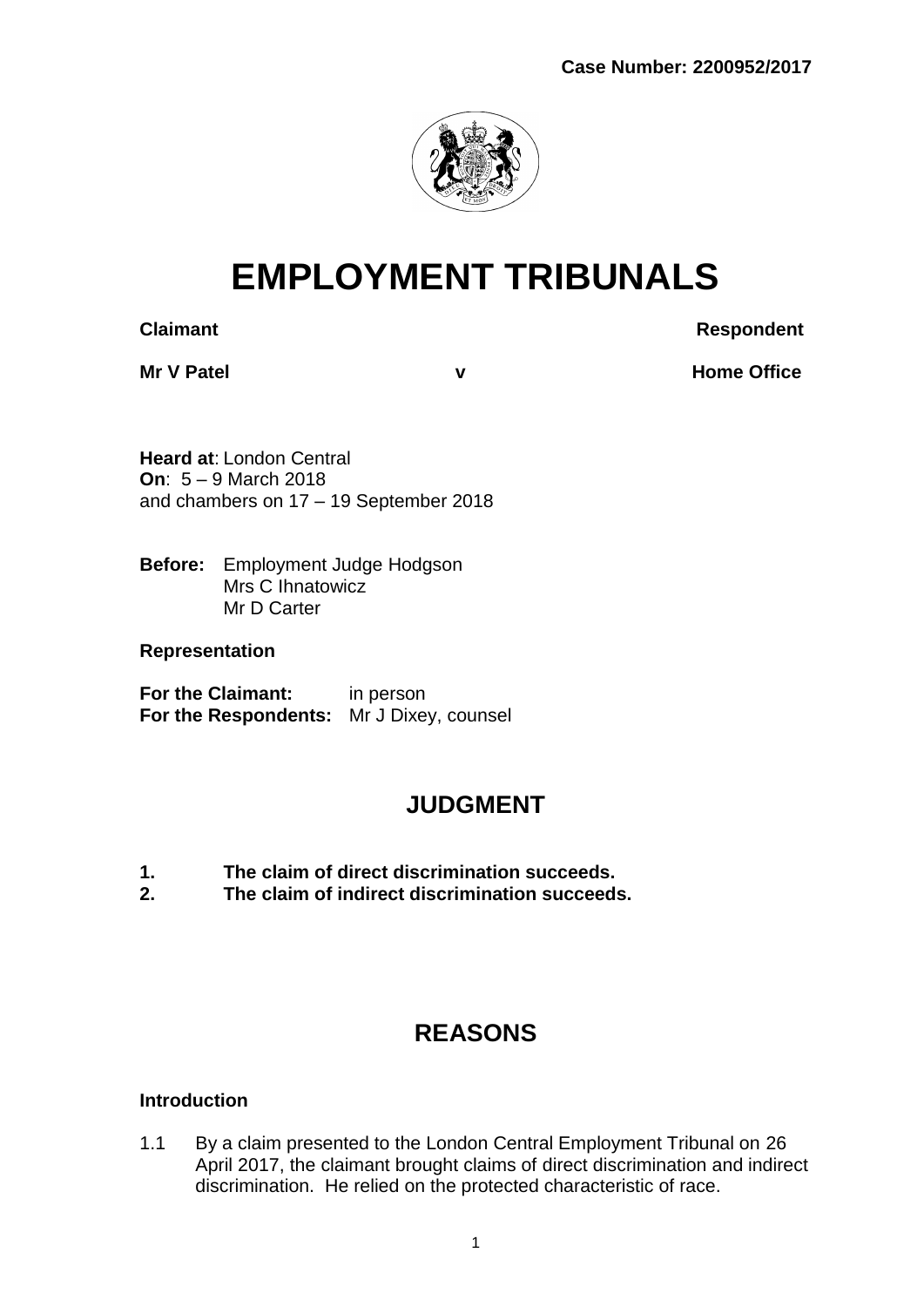

# **EMPLOYMENT TRIBUNALS**

**Claimant Respondent** 

**Mr V Patel v Home Office** 

**Heard at**: London Central **On**: 5 – 9 March 2018 and chambers on 17 – 19 September 2018

**Before:** Employment Judge Hodgson Mrs C Ihnatowicz Mr D Carter

**Representation**

**For the Claimant:** in person **For the Respondents:** Mr J Dixey, counsel

# **JUDGMENT**

- **1. The claim of direct discrimination succeeds.**
- **2. The claim of indirect discrimination succeeds.**

# **REASONS**

## **Introduction**

1.1 By a claim presented to the London Central Employment Tribunal on 26 April 2017, the claimant brought claims of direct discrimination and indirect discrimination. He relied on the protected characteristic of race.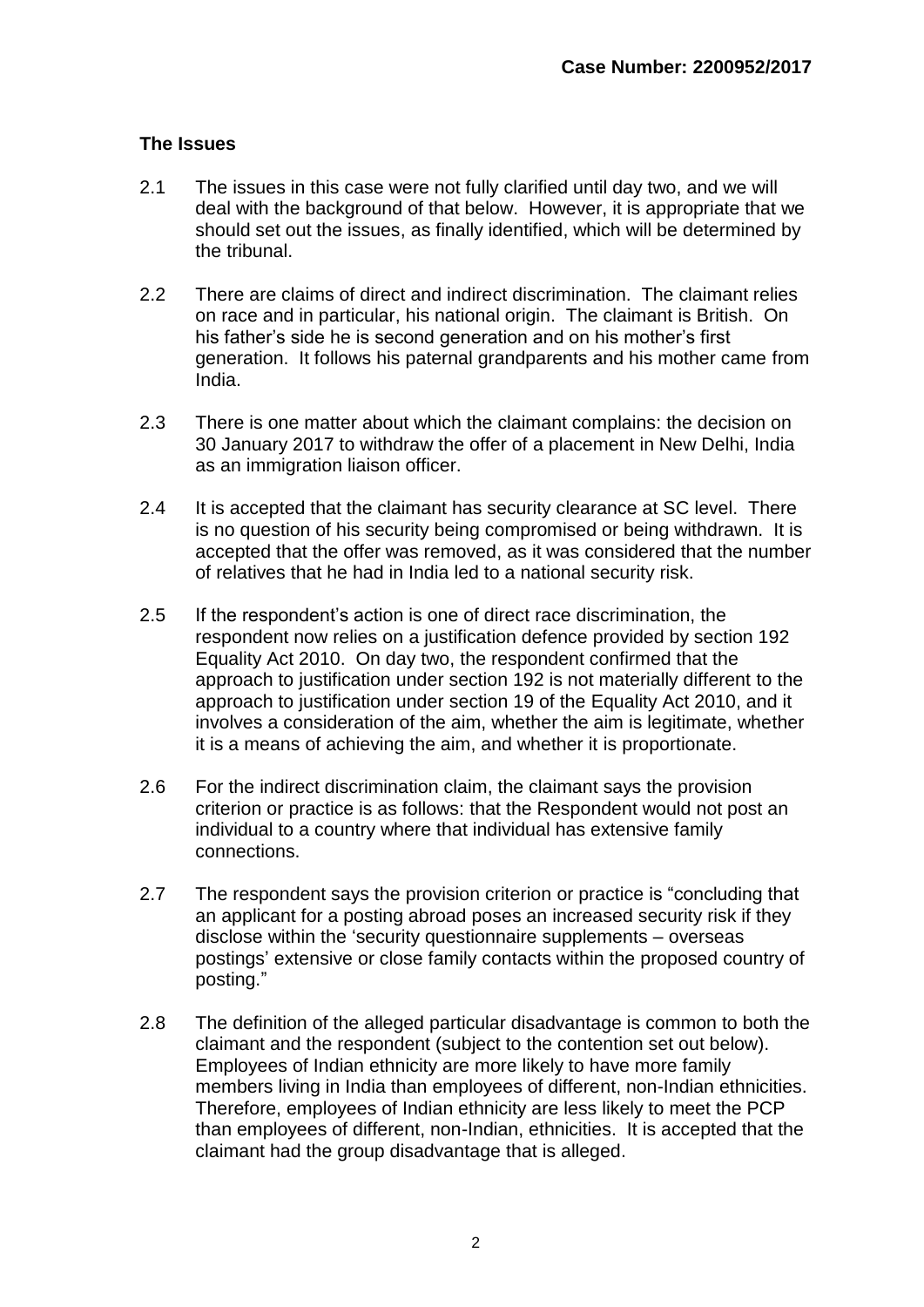#### **The Issues**

- 2.1 The issues in this case were not fully clarified until day two, and we will deal with the background of that below. However, it is appropriate that we should set out the issues, as finally identified, which will be determined by the tribunal.
- 2.2 There are claims of direct and indirect discrimination. The claimant relies on race and in particular, his national origin. The claimant is British. On his father's side he is second generation and on his mother's first generation. It follows his paternal grandparents and his mother came from India.
- 2.3 There is one matter about which the claimant complains: the decision on 30 January 2017 to withdraw the offer of a placement in New Delhi, India as an immigration liaison officer.
- 2.4 It is accepted that the claimant has security clearance at SC level. There is no question of his security being compromised or being withdrawn. It is accepted that the offer was removed, as it was considered that the number of relatives that he had in India led to a national security risk.
- 2.5 If the respondent's action is one of direct race discrimination, the respondent now relies on a justification defence provided by section 192 Equality Act 2010. On day two, the respondent confirmed that the approach to justification under section 192 is not materially different to the approach to justification under section 19 of the Equality Act 2010, and it involves a consideration of the aim, whether the aim is legitimate, whether it is a means of achieving the aim, and whether it is proportionate.
- 2.6 For the indirect discrimination claim, the claimant says the provision criterion or practice is as follows: that the Respondent would not post an individual to a country where that individual has extensive family connections.
- 2.7 The respondent says the provision criterion or practice is "concluding that an applicant for a posting abroad poses an increased security risk if they disclose within the 'security questionnaire supplements – overseas postings' extensive or close family contacts within the proposed country of posting."
- 2.8 The definition of the alleged particular disadvantage is common to both the claimant and the respondent (subject to the contention set out below). Employees of Indian ethnicity are more likely to have more family members living in India than employees of different, non-Indian ethnicities. Therefore, employees of Indian ethnicity are less likely to meet the PCP than employees of different, non-Indian, ethnicities. It is accepted that the claimant had the group disadvantage that is alleged.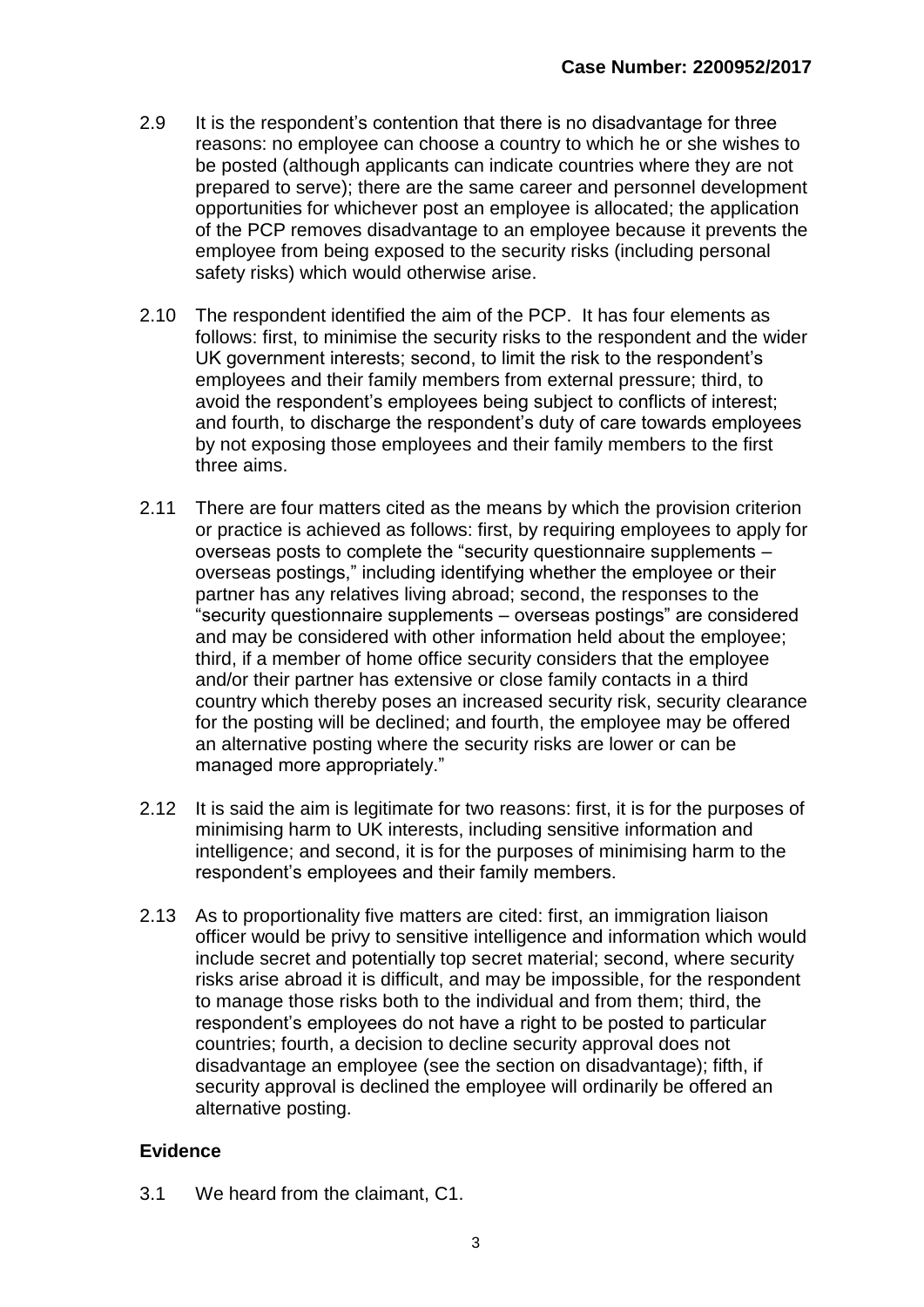- 2.9 It is the respondent's contention that there is no disadvantage for three reasons: no employee can choose a country to which he or she wishes to be posted (although applicants can indicate countries where they are not prepared to serve); there are the same career and personnel development opportunities for whichever post an employee is allocated; the application of the PCP removes disadvantage to an employee because it prevents the employee from being exposed to the security risks (including personal safety risks) which would otherwise arise.
- 2.10 The respondent identified the aim of the PCP. It has four elements as follows: first, to minimise the security risks to the respondent and the wider UK government interests; second, to limit the risk to the respondent's employees and their family members from external pressure; third, to avoid the respondent's employees being subject to conflicts of interest; and fourth, to discharge the respondent's duty of care towards employees by not exposing those employees and their family members to the first three aims.
- 2.11 There are four matters cited as the means by which the provision criterion or practice is achieved as follows: first, by requiring employees to apply for overseas posts to complete the "security questionnaire supplements – overseas postings," including identifying whether the employee or their partner has any relatives living abroad; second, the responses to the "security questionnaire supplements – overseas postings" are considered and may be considered with other information held about the employee; third, if a member of home office security considers that the employee and/or their partner has extensive or close family contacts in a third country which thereby poses an increased security risk, security clearance for the posting will be declined; and fourth, the employee may be offered an alternative posting where the security risks are lower or can be managed more appropriately."
- 2.12 It is said the aim is legitimate for two reasons: first, it is for the purposes of minimising harm to UK interests, including sensitive information and intelligence; and second, it is for the purposes of minimising harm to the respondent's employees and their family members.
- 2.13 As to proportionality five matters are cited: first, an immigration liaison officer would be privy to sensitive intelligence and information which would include secret and potentially top secret material; second, where security risks arise abroad it is difficult, and may be impossible, for the respondent to manage those risks both to the individual and from them; third, the respondent's employees do not have a right to be posted to particular countries; fourth, a decision to decline security approval does not disadvantage an employee (see the section on disadvantage); fifth, if security approval is declined the employee will ordinarily be offered an alternative posting.

#### **Evidence**

3.1 We heard from the claimant, C1.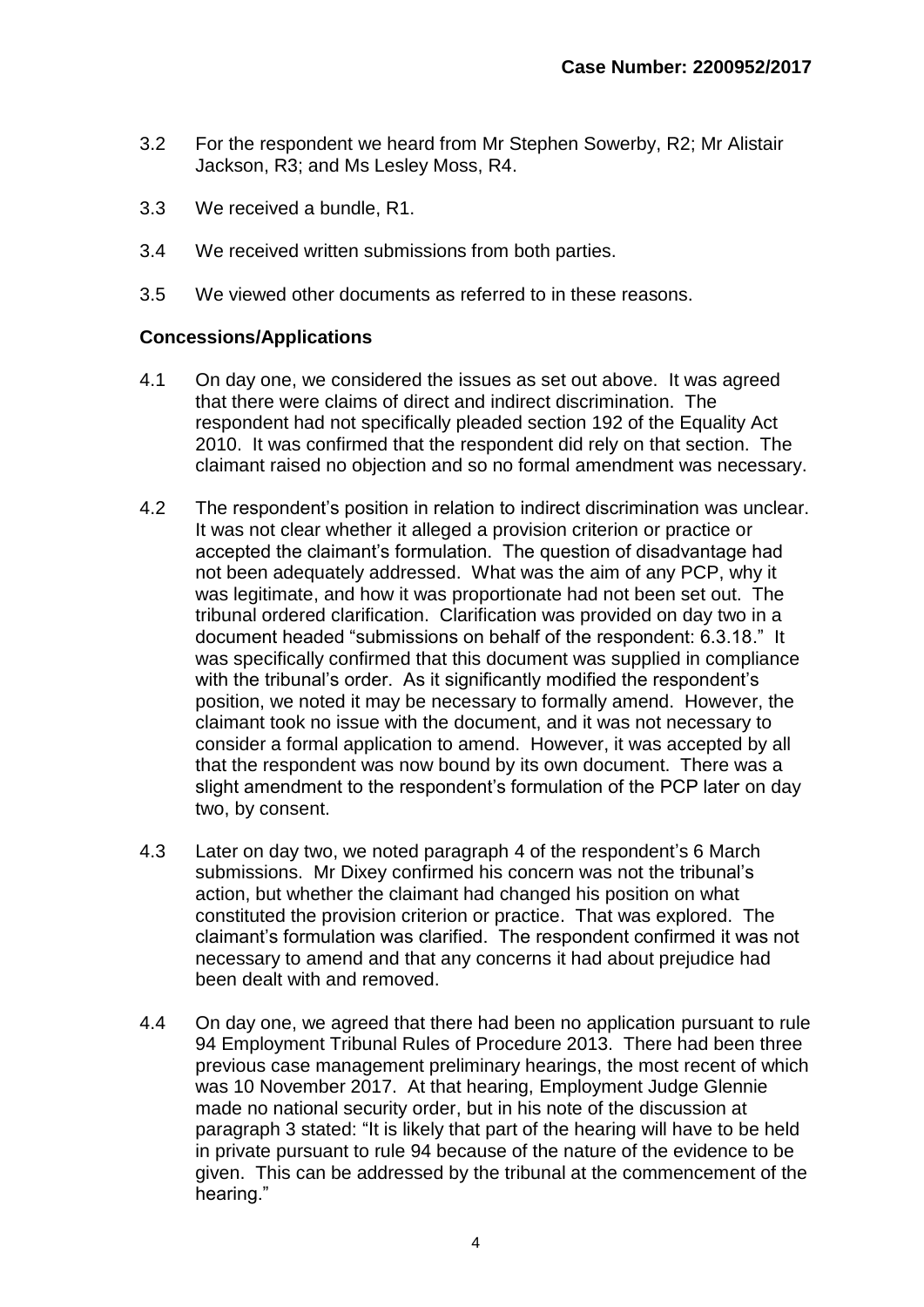- 3.2 For the respondent we heard from Mr Stephen Sowerby, R2; Mr Alistair Jackson, R3; and Ms Lesley Moss, R4.
- 3.3 We received a bundle, R1.
- 3.4 We received written submissions from both parties.
- 3.5 We viewed other documents as referred to in these reasons.

#### **Concessions/Applications**

- 4.1 On day one, we considered the issues as set out above. It was agreed that there were claims of direct and indirect discrimination. The respondent had not specifically pleaded section 192 of the Equality Act 2010. It was confirmed that the respondent did rely on that section. The claimant raised no objection and so no formal amendment was necessary.
- 4.2 The respondent's position in relation to indirect discrimination was unclear. It was not clear whether it alleged a provision criterion or practice or accepted the claimant's formulation. The question of disadvantage had not been adequately addressed. What was the aim of any PCP, why it was legitimate, and how it was proportionate had not been set out. The tribunal ordered clarification. Clarification was provided on day two in a document headed "submissions on behalf of the respondent: 6.3.18." It was specifically confirmed that this document was supplied in compliance with the tribunal's order. As it significantly modified the respondent's position, we noted it may be necessary to formally amend. However, the claimant took no issue with the document, and it was not necessary to consider a formal application to amend. However, it was accepted by all that the respondent was now bound by its own document. There was a slight amendment to the respondent's formulation of the PCP later on day two, by consent.
- 4.3 Later on day two, we noted paragraph 4 of the respondent's 6 March submissions. Mr Dixey confirmed his concern was not the tribunal's action, but whether the claimant had changed his position on what constituted the provision criterion or practice. That was explored. The claimant's formulation was clarified. The respondent confirmed it was not necessary to amend and that any concerns it had about prejudice had been dealt with and removed.
- 4.4 On day one, we agreed that there had been no application pursuant to rule 94 Employment Tribunal Rules of Procedure 2013. There had been three previous case management preliminary hearings, the most recent of which was 10 November 2017. At that hearing, Employment Judge Glennie made no national security order, but in his note of the discussion at paragraph 3 stated: "It is likely that part of the hearing will have to be held in private pursuant to rule 94 because of the nature of the evidence to be given. This can be addressed by the tribunal at the commencement of the hearing."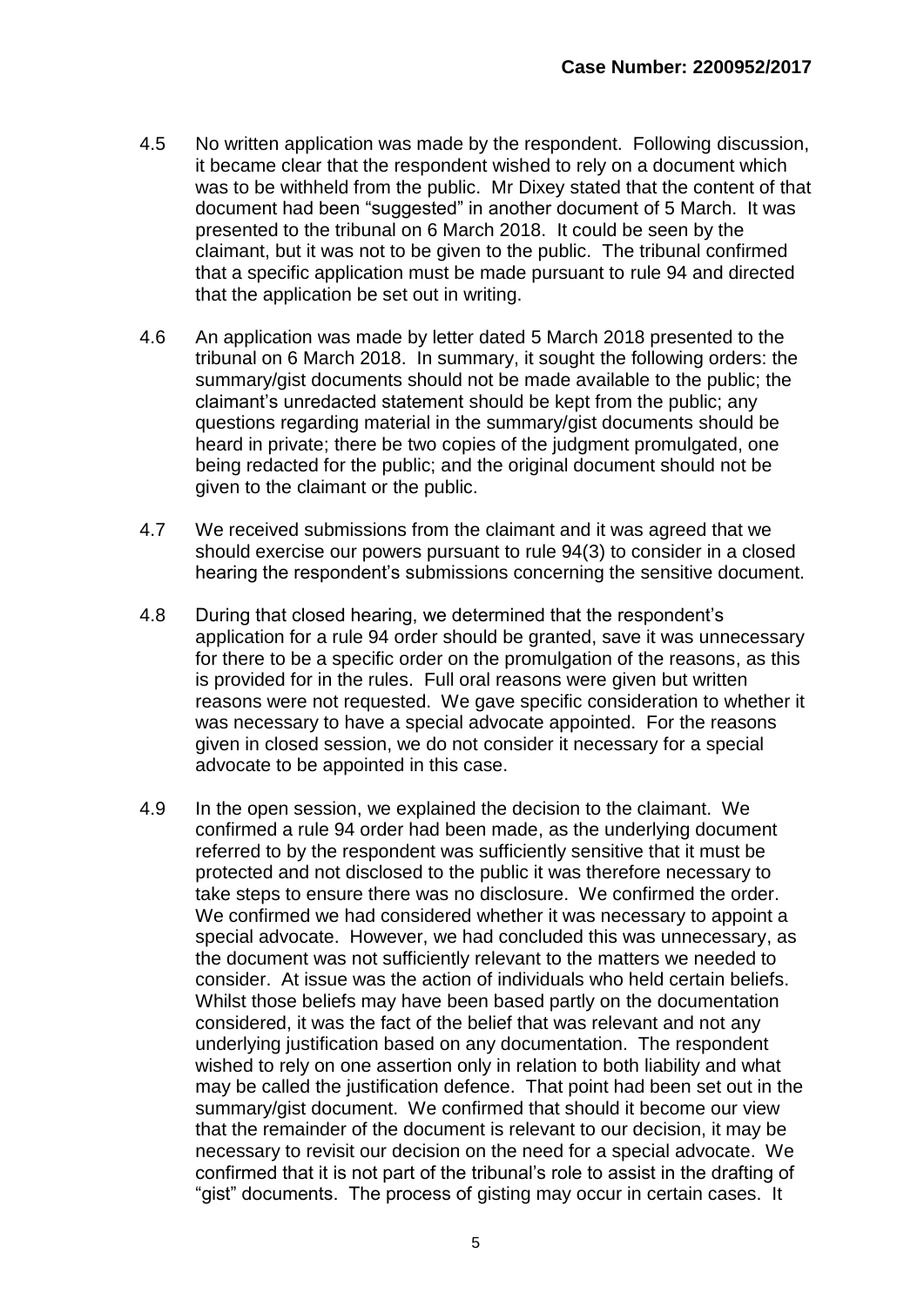- 4.5 No written application was made by the respondent. Following discussion, it became clear that the respondent wished to rely on a document which was to be withheld from the public. Mr Dixey stated that the content of that document had been "suggested" in another document of 5 March. It was presented to the tribunal on 6 March 2018. It could be seen by the claimant, but it was not to be given to the public. The tribunal confirmed that a specific application must be made pursuant to rule 94 and directed that the application be set out in writing.
- 4.6 An application was made by letter dated 5 March 2018 presented to the tribunal on 6 March 2018. In summary, it sought the following orders: the summary/gist documents should not be made available to the public; the claimant's unredacted statement should be kept from the public; any questions regarding material in the summary/gist documents should be heard in private; there be two copies of the judgment promulgated, one being redacted for the public; and the original document should not be given to the claimant or the public.
- 4.7 We received submissions from the claimant and it was agreed that we should exercise our powers pursuant to rule 94(3) to consider in a closed hearing the respondent's submissions concerning the sensitive document.
- 4.8 During that closed hearing, we determined that the respondent's application for a rule 94 order should be granted, save it was unnecessary for there to be a specific order on the promulgation of the reasons, as this is provided for in the rules. Full oral reasons were given but written reasons were not requested. We gave specific consideration to whether it was necessary to have a special advocate appointed. For the reasons given in closed session, we do not consider it necessary for a special advocate to be appointed in this case.
- 4.9 In the open session, we explained the decision to the claimant. We confirmed a rule 94 order had been made, as the underlying document referred to by the respondent was sufficiently sensitive that it must be protected and not disclosed to the public it was therefore necessary to take steps to ensure there was no disclosure. We confirmed the order. We confirmed we had considered whether it was necessary to appoint a special advocate. However, we had concluded this was unnecessary, as the document was not sufficiently relevant to the matters we needed to consider. At issue was the action of individuals who held certain beliefs. Whilst those beliefs may have been based partly on the documentation considered, it was the fact of the belief that was relevant and not any underlying justification based on any documentation. The respondent wished to rely on one assertion only in relation to both liability and what may be called the justification defence. That point had been set out in the summary/gist document. We confirmed that should it become our view that the remainder of the document is relevant to our decision, it may be necessary to revisit our decision on the need for a special advocate. We confirmed that it is not part of the tribunal's role to assist in the drafting of "gist" documents. The process of gisting may occur in certain cases. It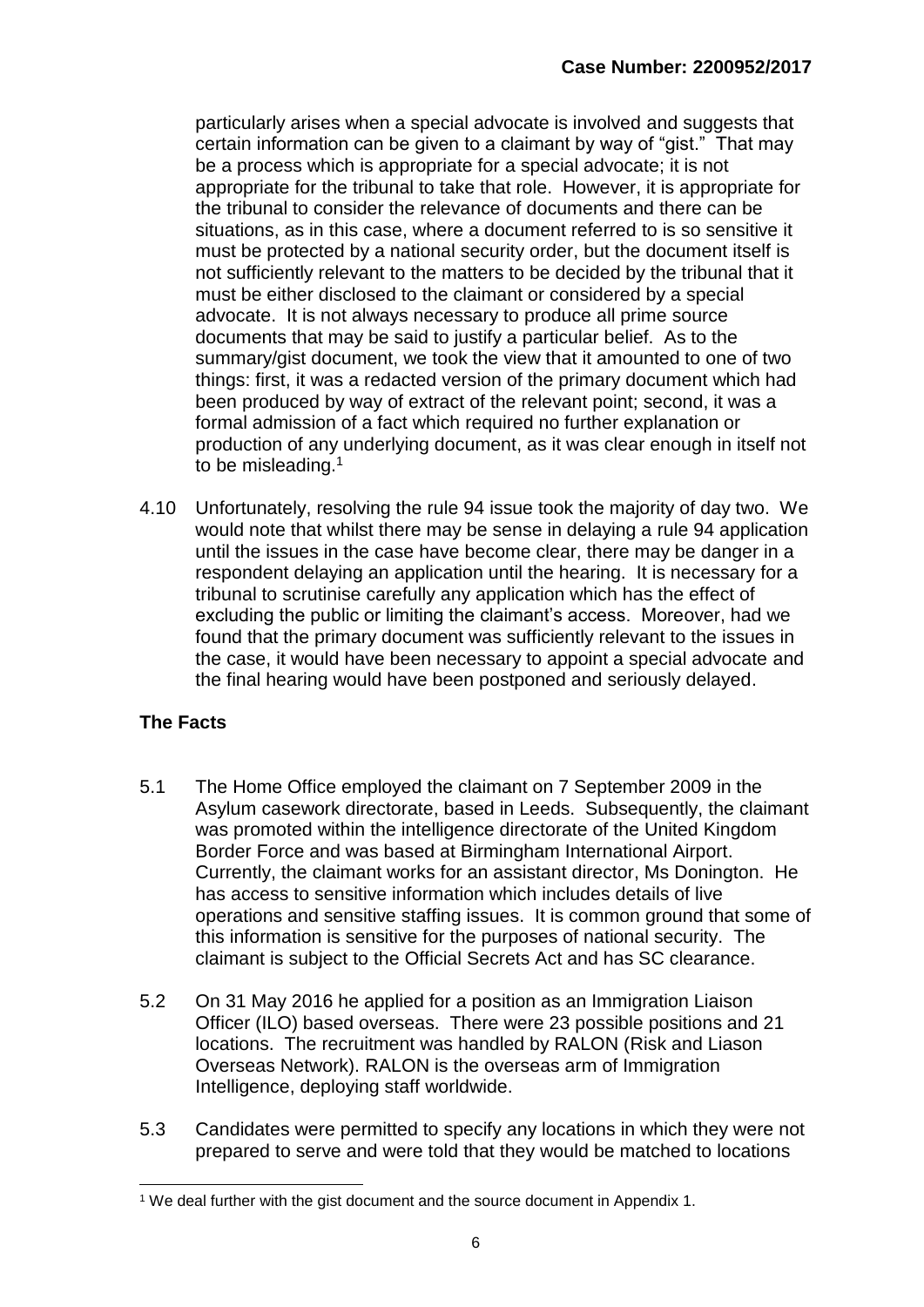particularly arises when a special advocate is involved and suggests that certain information can be given to a claimant by way of "gist." That may be a process which is appropriate for a special advocate; it is not appropriate for the tribunal to take that role. However, it is appropriate for the tribunal to consider the relevance of documents and there can be situations, as in this case, where a document referred to is so sensitive it must be protected by a national security order, but the document itself is not sufficiently relevant to the matters to be decided by the tribunal that it must be either disclosed to the claimant or considered by a special advocate. It is not always necessary to produce all prime source documents that may be said to justify a particular belief. As to the summary/gist document, we took the view that it amounted to one of two things: first, it was a redacted version of the primary document which had been produced by way of extract of the relevant point; second, it was a formal admission of a fact which required no further explanation or production of any underlying document, as it was clear enough in itself not to be misleading.<sup>1</sup>

4.10 Unfortunately, resolving the rule 94 issue took the majority of day two. We would note that whilst there may be sense in delaying a rule 94 application until the issues in the case have become clear, there may be danger in a respondent delaying an application until the hearing. It is necessary for a tribunal to scrutinise carefully any application which has the effect of excluding the public or limiting the claimant's access. Moreover, had we found that the primary document was sufficiently relevant to the issues in the case, it would have been necessary to appoint a special advocate and the final hearing would have been postponed and seriously delayed.

## **The Facts**

- 5.1 The Home Office employed the claimant on 7 September 2009 in the Asylum casework directorate, based in Leeds. Subsequently, the claimant was promoted within the intelligence directorate of the United Kingdom Border Force and was based at Birmingham International Airport. Currently, the claimant works for an assistant director, Ms Donington. He has access to sensitive information which includes details of live operations and sensitive staffing issues. It is common ground that some of this information is sensitive for the purposes of national security. The claimant is subject to the Official Secrets Act and has SC clearance.
- 5.2 On 31 May 2016 he applied for a position as an Immigration Liaison Officer (ILO) based overseas. There were 23 possible positions and 21 locations. The recruitment was handled by RALON (Risk and Liason Overseas Network). RALON is the overseas arm of Immigration Intelligence, deploying staff worldwide.
- 5.3 Candidates were permitted to specify any locations in which they were not prepared to serve and were told that they would be matched to locations

<sup>-</sup><sup>1</sup> We deal further with the gist document and the source document in Appendix 1.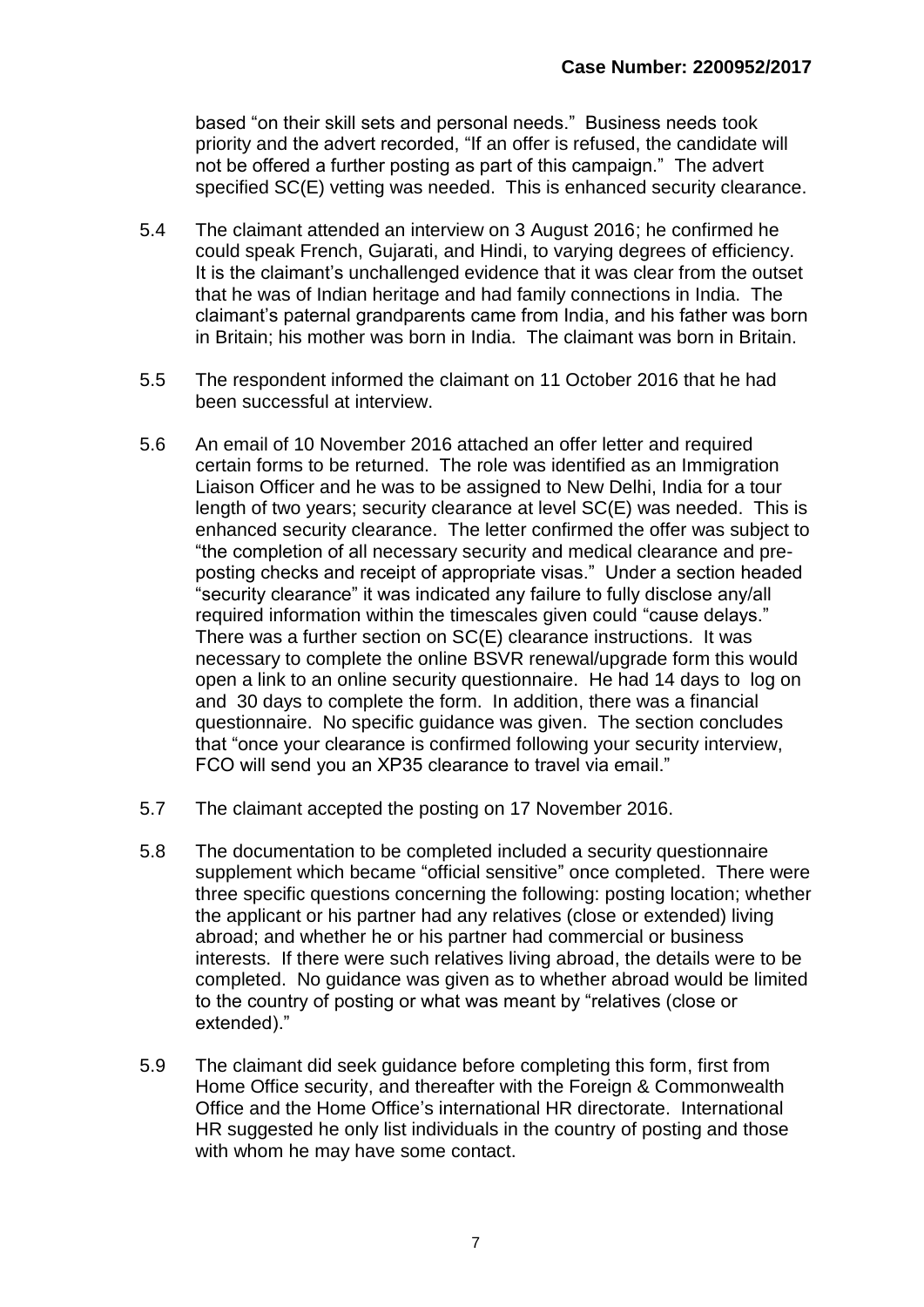based "on their skill sets and personal needs." Business needs took priority and the advert recorded, "If an offer is refused, the candidate will not be offered a further posting as part of this campaign." The advert specified SC(E) vetting was needed. This is enhanced security clearance.

- 5.4 The claimant attended an interview on 3 August 2016; he confirmed he could speak French, Gujarati, and Hindi, to varying degrees of efficiency. It is the claimant's unchallenged evidence that it was clear from the outset that he was of Indian heritage and had family connections in India. The claimant's paternal grandparents came from India, and his father was born in Britain; his mother was born in India. The claimant was born in Britain.
- 5.5 The respondent informed the claimant on 11 October 2016 that he had been successful at interview.
- 5.6 An email of 10 November 2016 attached an offer letter and required certain forms to be returned. The role was identified as an Immigration Liaison Officer and he was to be assigned to New Delhi, India for a tour length of two years; security clearance at level SC(E) was needed. This is enhanced security clearance. The letter confirmed the offer was subject to "the completion of all necessary security and medical clearance and preposting checks and receipt of appropriate visas." Under a section headed "security clearance" it was indicated any failure to fully disclose any/all required information within the timescales given could "cause delays." There was a further section on SC(E) clearance instructions. It was necessary to complete the online BSVR renewal/upgrade form this would open a link to an online security questionnaire. He had 14 days to log on and 30 days to complete the form. In addition, there was a financial questionnaire. No specific guidance was given. The section concludes that "once your clearance is confirmed following your security interview, FCO will send you an XP35 clearance to travel via email."
- 5.7 The claimant accepted the posting on 17 November 2016.
- 5.8 The documentation to be completed included a security questionnaire supplement which became "official sensitive" once completed. There were three specific questions concerning the following: posting location; whether the applicant or his partner had any relatives (close or extended) living abroad; and whether he or his partner had commercial or business interests. If there were such relatives living abroad, the details were to be completed. No guidance was given as to whether abroad would be limited to the country of posting or what was meant by "relatives (close or extended)."
- 5.9 The claimant did seek guidance before completing this form, first from Home Office security, and thereafter with the Foreign & Commonwealth Office and the Home Office's international HR directorate. International HR suggested he only list individuals in the country of posting and those with whom he may have some contact.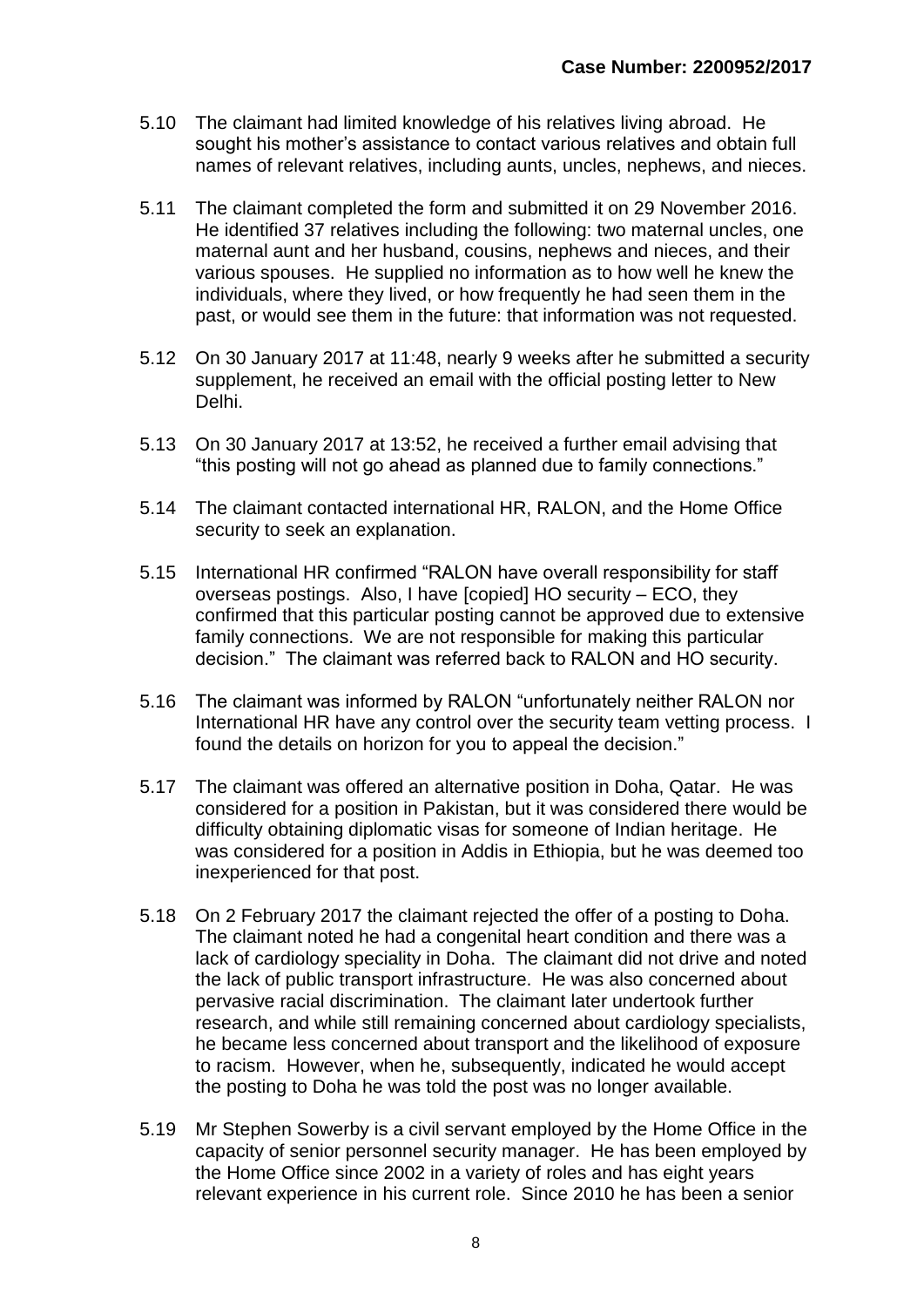- 5.10 The claimant had limited knowledge of his relatives living abroad. He sought his mother's assistance to contact various relatives and obtain full names of relevant relatives, including aunts, uncles, nephews, and nieces.
- 5.11 The claimant completed the form and submitted it on 29 November 2016. He identified 37 relatives including the following: two maternal uncles, one maternal aunt and her husband, cousins, nephews and nieces, and their various spouses. He supplied no information as to how well he knew the individuals, where they lived, or how frequently he had seen them in the past, or would see them in the future: that information was not requested.
- 5.12 On 30 January 2017 at 11:48, nearly 9 weeks after he submitted a security supplement, he received an email with the official posting letter to New Delhi.
- 5.13 On 30 January 2017 at 13:52, he received a further email advising that "this posting will not go ahead as planned due to family connections."
- 5.14 The claimant contacted international HR, RALON, and the Home Office security to seek an explanation.
- 5.15 International HR confirmed "RALON have overall responsibility for staff overseas postings. Also, I have [copied] HO security – ECO, they confirmed that this particular posting cannot be approved due to extensive family connections. We are not responsible for making this particular decision." The claimant was referred back to RALON and HO security.
- 5.16 The claimant was informed by RALON "unfortunately neither RALON nor International HR have any control over the security team vetting process. I found the details on horizon for you to appeal the decision."
- 5.17 The claimant was offered an alternative position in Doha, Qatar. He was considered for a position in Pakistan, but it was considered there would be difficulty obtaining diplomatic visas for someone of Indian heritage. He was considered for a position in Addis in Ethiopia, but he was deemed too inexperienced for that post.
- 5.18 On 2 February 2017 the claimant rejected the offer of a posting to Doha. The claimant noted he had a congenital heart condition and there was a lack of cardiology speciality in Doha. The claimant did not drive and noted the lack of public transport infrastructure. He was also concerned about pervasive racial discrimination. The claimant later undertook further research, and while still remaining concerned about cardiology specialists, he became less concerned about transport and the likelihood of exposure to racism. However, when he, subsequently, indicated he would accept the posting to Doha he was told the post was no longer available.
- 5.19 Mr Stephen Sowerby is a civil servant employed by the Home Office in the capacity of senior personnel security manager. He has been employed by the Home Office since 2002 in a variety of roles and has eight years relevant experience in his current role. Since 2010 he has been a senior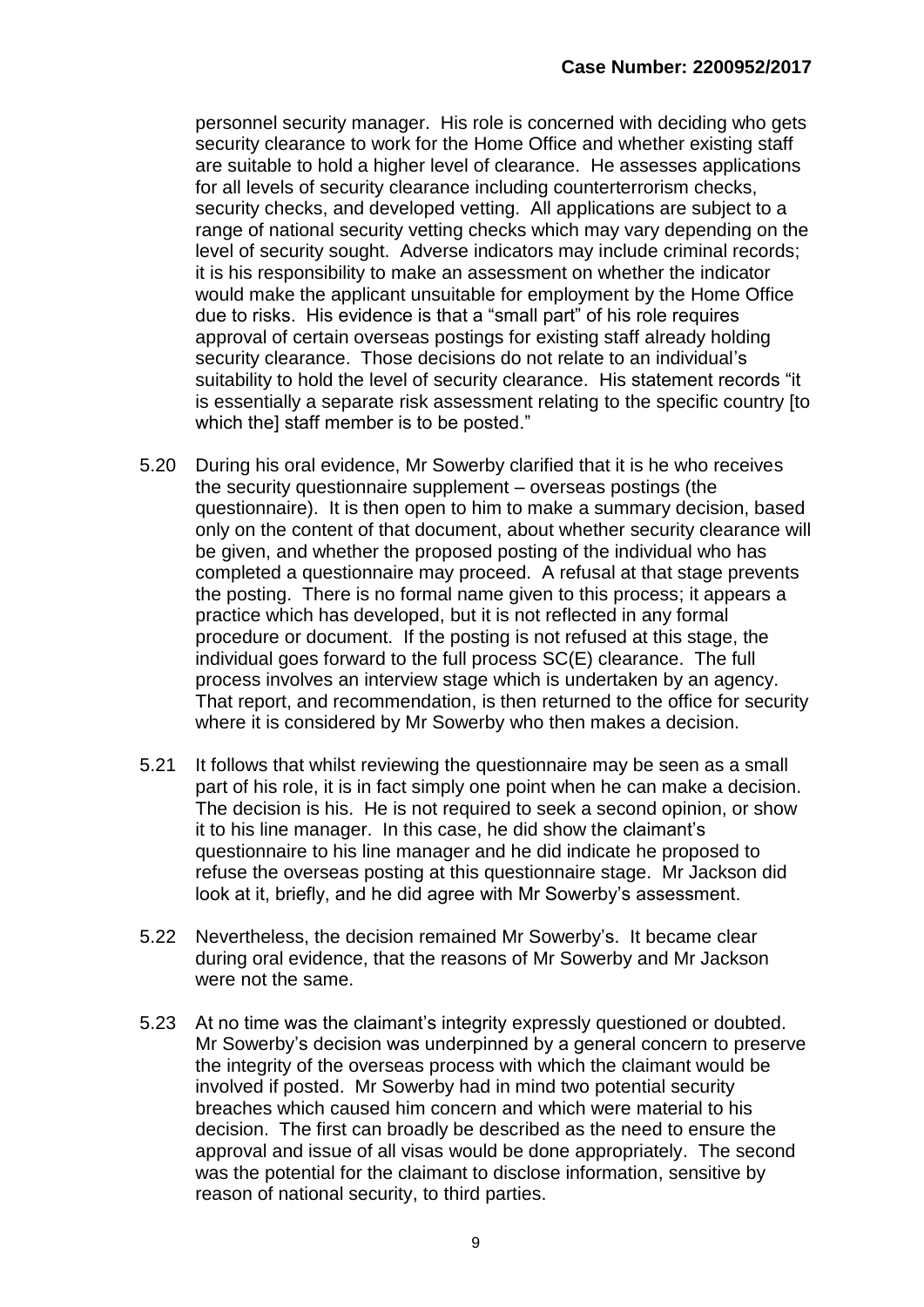personnel security manager. His role is concerned with deciding who gets security clearance to work for the Home Office and whether existing staff are suitable to hold a higher level of clearance. He assesses applications for all levels of security clearance including counterterrorism checks, security checks, and developed vetting. All applications are subject to a range of national security vetting checks which may vary depending on the level of security sought. Adverse indicators may include criminal records; it is his responsibility to make an assessment on whether the indicator would make the applicant unsuitable for employment by the Home Office due to risks. His evidence is that a "small part" of his role requires approval of certain overseas postings for existing staff already holding security clearance. Those decisions do not relate to an individual's suitability to hold the level of security clearance. His statement records "it is essentially a separate risk assessment relating to the specific country [to which the staff member is to be posted."

- 5.20 During his oral evidence, Mr Sowerby clarified that it is he who receives the security questionnaire supplement – overseas postings (the questionnaire). It is then open to him to make a summary decision, based only on the content of that document, about whether security clearance will be given, and whether the proposed posting of the individual who has completed a questionnaire may proceed. A refusal at that stage prevents the posting. There is no formal name given to this process; it appears a practice which has developed, but it is not reflected in any formal procedure or document. If the posting is not refused at this stage, the individual goes forward to the full process SC(E) clearance. The full process involves an interview stage which is undertaken by an agency. That report, and recommendation, is then returned to the office for security where it is considered by Mr Sowerby who then makes a decision.
- 5.21 It follows that whilst reviewing the questionnaire may be seen as a small part of his role, it is in fact simply one point when he can make a decision. The decision is his. He is not required to seek a second opinion, or show it to his line manager. In this case, he did show the claimant's questionnaire to his line manager and he did indicate he proposed to refuse the overseas posting at this questionnaire stage. Mr Jackson did look at it, briefly, and he did agree with Mr Sowerby's assessment.
- 5.22 Nevertheless, the decision remained Mr Sowerby's. It became clear during oral evidence, that the reasons of Mr Sowerby and Mr Jackson were not the same.
- 5.23 At no time was the claimant's integrity expressly questioned or doubted. Mr Sowerby's decision was underpinned by a general concern to preserve the integrity of the overseas process with which the claimant would be involved if posted. Mr Sowerby had in mind two potential security breaches which caused him concern and which were material to his decision. The first can broadly be described as the need to ensure the approval and issue of all visas would be done appropriately. The second was the potential for the claimant to disclose information, sensitive by reason of national security, to third parties.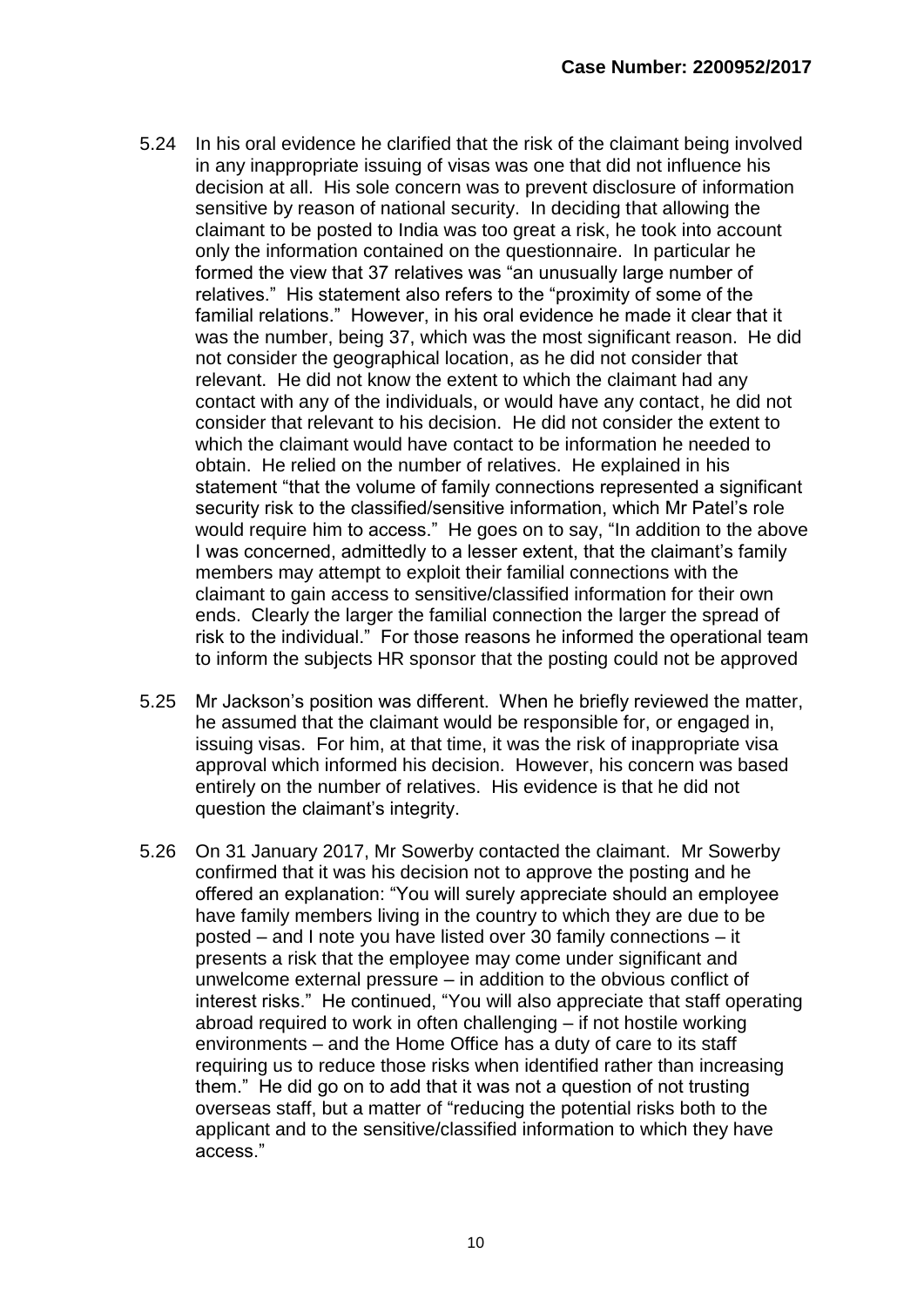- 5.24 In his oral evidence he clarified that the risk of the claimant being involved in any inappropriate issuing of visas was one that did not influence his decision at all. His sole concern was to prevent disclosure of information sensitive by reason of national security. In deciding that allowing the claimant to be posted to India was too great a risk, he took into account only the information contained on the questionnaire. In particular he formed the view that 37 relatives was "an unusually large number of relatives." His statement also refers to the "proximity of some of the familial relations." However, in his oral evidence he made it clear that it was the number, being 37, which was the most significant reason. He did not consider the geographical location, as he did not consider that relevant. He did not know the extent to which the claimant had any contact with any of the individuals, or would have any contact, he did not consider that relevant to his decision. He did not consider the extent to which the claimant would have contact to be information he needed to obtain. He relied on the number of relatives. He explained in his statement "that the volume of family connections represented a significant security risk to the classified/sensitive information, which Mr Patel's role would require him to access." He goes on to say, "In addition to the above I was concerned, admittedly to a lesser extent, that the claimant's family members may attempt to exploit their familial connections with the claimant to gain access to sensitive/classified information for their own ends. Clearly the larger the familial connection the larger the spread of risk to the individual." For those reasons he informed the operational team to inform the subjects HR sponsor that the posting could not be approved
- 5.25 Mr Jackson's position was different. When he briefly reviewed the matter, he assumed that the claimant would be responsible for, or engaged in, issuing visas. For him, at that time, it was the risk of inappropriate visa approval which informed his decision. However, his concern was based entirely on the number of relatives. His evidence is that he did not question the claimant's integrity.
- 5.26 On 31 January 2017, Mr Sowerby contacted the claimant. Mr Sowerby confirmed that it was his decision not to approve the posting and he offered an explanation: "You will surely appreciate should an employee have family members living in the country to which they are due to be posted – and I note you have listed over 30 family connections – it presents a risk that the employee may come under significant and unwelcome external pressure – in addition to the obvious conflict of interest risks." He continued, "You will also appreciate that staff operating abroad required to work in often challenging – if not hostile working environments – and the Home Office has a duty of care to its staff requiring us to reduce those risks when identified rather than increasing them." He did go on to add that it was not a question of not trusting overseas staff, but a matter of "reducing the potential risks both to the applicant and to the sensitive/classified information to which they have access."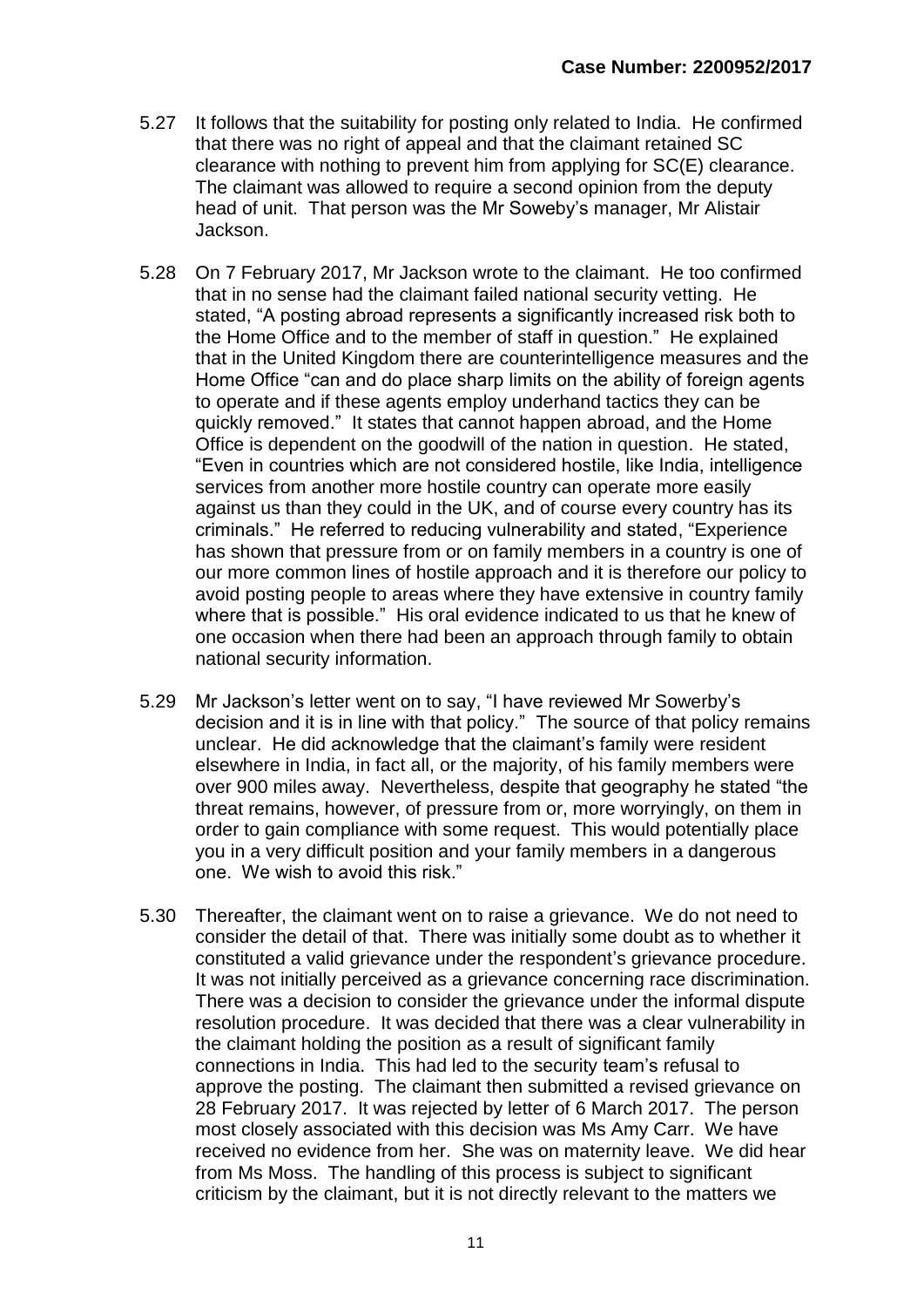- 5.27 It follows that the suitability for posting only related to India. He confirmed that there was no right of appeal and that the claimant retained SC clearance with nothing to prevent him from applying for SC(E) clearance. The claimant was allowed to require a second opinion from the deputy head of unit. That person was the Mr Soweby's manager, Mr Alistair Jackson.
- 5.28 On 7 February 2017, Mr Jackson wrote to the claimant. He too confirmed that in no sense had the claimant failed national security vetting. He stated, "A posting abroad represents a significantly increased risk both to the Home Office and to the member of staff in question." He explained that in the United Kingdom there are counterintelligence measures and the Home Office "can and do place sharp limits on the ability of foreign agents to operate and if these agents employ underhand tactics they can be quickly removed." It states that cannot happen abroad, and the Home Office is dependent on the goodwill of the nation in question. He stated, "Even in countries which are not considered hostile, like India, intelligence services from another more hostile country can operate more easily against us than they could in the UK, and of course every country has its criminals." He referred to reducing vulnerability and stated, "Experience has shown that pressure from or on family members in a country is one of our more common lines of hostile approach and it is therefore our policy to avoid posting people to areas where they have extensive in country family where that is possible." His oral evidence indicated to us that he knew of one occasion when there had been an approach through family to obtain national security information.
- 5.29 Mr Jackson's letter went on to say, "I have reviewed Mr Sowerby's decision and it is in line with that policy." The source of that policy remains unclear. He did acknowledge that the claimant's family were resident elsewhere in India, in fact all, or the majority, of his family members were over 900 miles away. Nevertheless, despite that geography he stated "the threat remains, however, of pressure from or, more worryingly, on them in order to gain compliance with some request. This would potentially place you in a very difficult position and your family members in a dangerous one. We wish to avoid this risk."
- 5.30 Thereafter, the claimant went on to raise a grievance. We do not need to consider the detail of that. There was initially some doubt as to whether it constituted a valid grievance under the respondent's grievance procedure. It was not initially perceived as a grievance concerning race discrimination. There was a decision to consider the grievance under the informal dispute resolution procedure. It was decided that there was a clear vulnerability in the claimant holding the position as a result of significant family connections in India. This had led to the security team's refusal to approve the posting. The claimant then submitted a revised grievance on 28 February 2017. It was rejected by letter of 6 March 2017. The person most closely associated with this decision was Ms Amy Carr. We have received no evidence from her. She was on maternity leave. We did hear from Ms Moss. The handling of this process is subject to significant criticism by the claimant, but it is not directly relevant to the matters we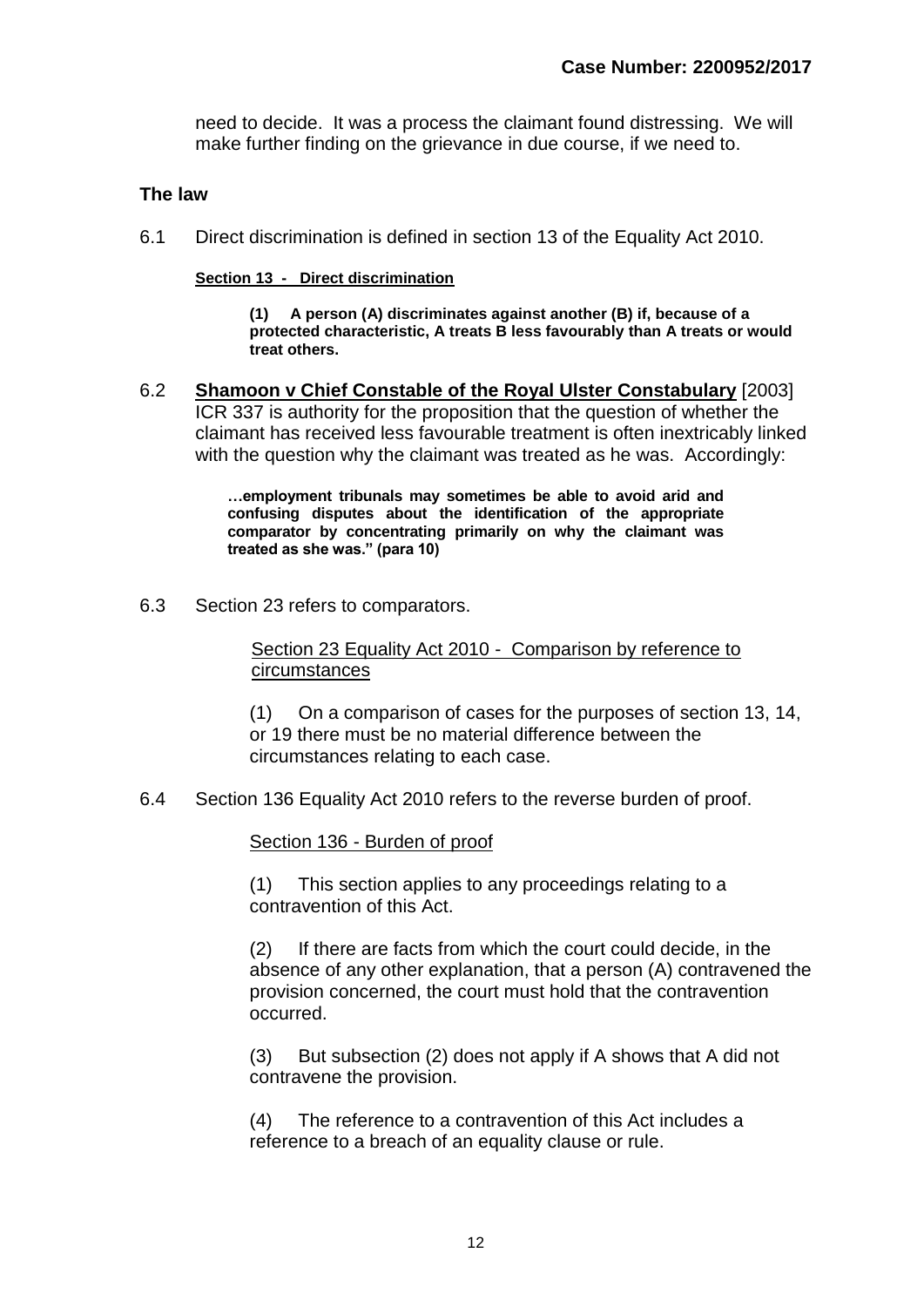need to decide. It was a process the claimant found distressing. We will make further finding on the grievance in due course, if we need to.

#### **The law**

6.1 Direct discrimination is defined in section 13 of the Equality Act 2010.

**Section 13 - Direct discrimination**

**(1) A person (A) discriminates against another (B) if, because of a protected characteristic, A treats B less favourably than A treats or would treat others.**

6.2 **Shamoon v Chief Constable of the Royal Ulster Constabulary** [\[2003\]](http://www.bailii.org/cgi-bin/redirect.cgi?path=/uk/cases/UKHL/2003/11.html)  [ICR 337](http://www.bailii.org/cgi-bin/redirect.cgi?path=/uk/cases/UKHL/2003/11.html) is authority for the proposition that the question of whether the claimant has received less favourable treatment is often inextricably linked with the question why the claimant was treated as he was. Accordingly:

> **…employment tribunals may sometimes be able to avoid arid and confusing disputes about the identification of the appropriate comparator by concentrating primarily on why the claimant was treated as she was." (para 10)**

6.3 Section 23 refers to comparators.

Section 23 Equality Act 2010 - Comparison by reference to circumstances

(1) On a comparison of cases for the purposes of section 13, 14, or 19 there must be no material difference between the circumstances relating to each case.

6.4 Section 136 Equality Act 2010 refers to the reverse burden of proof.

Section 136 - Burden of proof

(1) This section applies to any proceedings relating to a contravention of this Act.

(2) If there are facts from which the court could decide, in the absence of any other explanation, that a person (A) contravened the provision concerned, the court must hold that the contravention occurred.

(3) But subsection (2) does not apply if A shows that A did not contravene the provision.

(4) The reference to a contravention of this Act includes a reference to a breach of an equality clause or rule.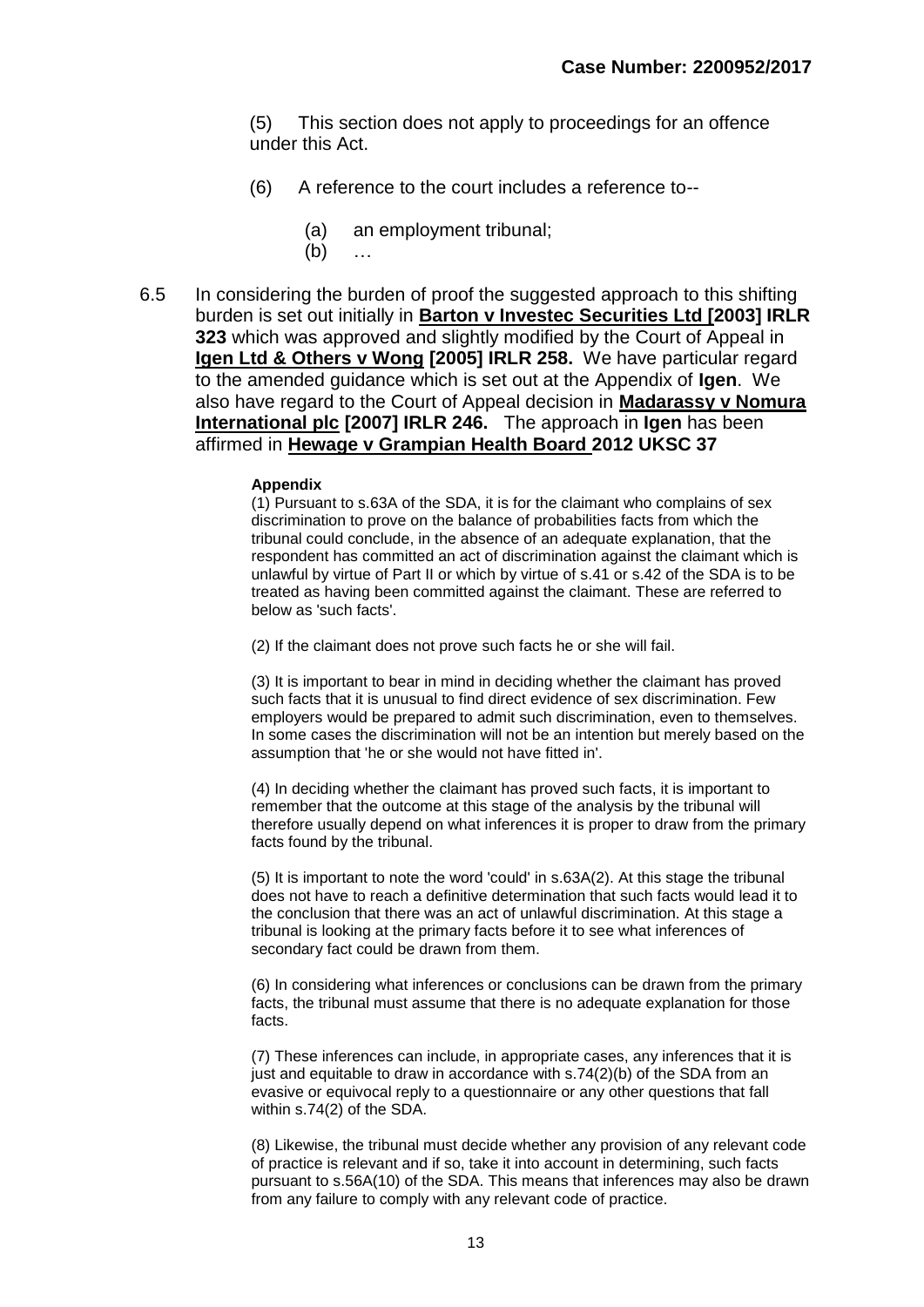(5) This section does not apply to proceedings for an offence under this Act.

- (6) A reference to the court includes a reference to--
	- (a) an employment tribunal;
	- (b) …
- 6.5 In considering the burden of proof the suggested approach to this shifting burden is set out initially in **Barton v Investec Securities Ltd [2003] IRLR 323** which was approved and slightly modified by the Court of Appeal in **Igen Ltd & Others v Wong [2005] IRLR 258.** We have particular regard to the amended guidance which is set out at the Appendix of **Igen**. We also have regard to the Court of Appeal decision in **Madarassy v Nomura International plc [2007] IRLR 246.** The approach in **Igen** has been affirmed in **Hewage v Grampian Health Board 2012 UKSC 37**

#### **Appendix**

(1) Pursuant to s.63A of the SDA, it is for the claimant who complains of sex discrimination to prove on the balance of probabilities facts from which the tribunal could conclude, in the absence of an adequate explanation, that the respondent has committed an act of discrimination against the claimant which is unlawful by virtue of Part II or which by virtue of s.41 or s.42 of the SDA is to be treated as having been committed against the claimant. These are referred to below as 'such facts'.

(2) If the claimant does not prove such facts he or she will fail.

(3) It is important to bear in mind in deciding whether the claimant has proved such facts that it is unusual to find direct evidence of sex discrimination. Few employers would be prepared to admit such discrimination, even to themselves. In some cases the discrimination will not be an intention but merely based on the assumption that 'he or she would not have fitted in'.

(4) In deciding whether the claimant has proved such facts, it is important to remember that the outcome at this stage of the analysis by the tribunal will therefore usually depend on what inferences it is proper to draw from the primary facts found by the tribunal.

(5) It is important to note the word 'could' in s.63A(2). At this stage the tribunal does not have to reach a definitive determination that such facts would lead it to the conclusion that there was an act of unlawful discrimination. At this stage a tribunal is looking at the primary facts before it to see what inferences of secondary fact could be drawn from them.

(6) In considering what inferences or conclusions can be drawn from the primary facts, the tribunal must assume that there is no adequate explanation for those facts.

(7) These inferences can include, in appropriate cases, any inferences that it is just and equitable to draw in accordance with s.74(2)(b) of the SDA from an evasive or equivocal reply to a questionnaire or any other questions that fall within s.74(2) of the SDA.

(8) Likewise, the tribunal must decide whether any provision of any relevant code of practice is relevant and if so, take it into account in determining, such facts pursuant to s.56A(10) of the SDA. This means that inferences may also be drawn from any failure to comply with any relevant code of practice.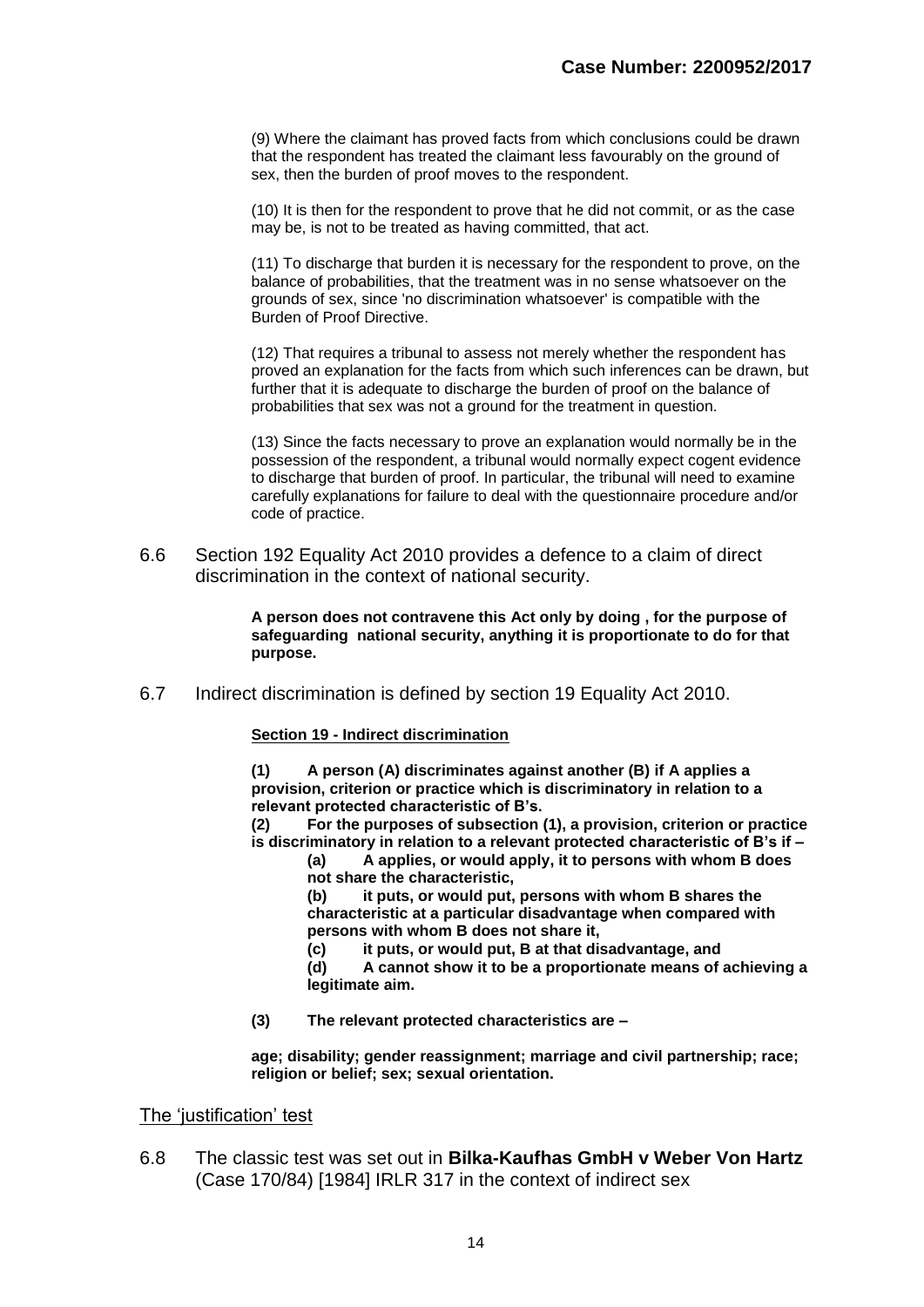(9) Where the claimant has proved facts from which conclusions could be drawn that the respondent has treated the claimant less favourably on the ground of sex, then the burden of proof moves to the respondent.

(10) It is then for the respondent to prove that he did not commit, or as the case may be, is not to be treated as having committed, that act.

(11) To discharge that burden it is necessary for the respondent to prove, on the balance of probabilities, that the treatment was in no sense whatsoever on the grounds of sex, since 'no discrimination whatsoever' is compatible with the Burden of Proof Directive.

(12) That requires a tribunal to assess not merely whether the respondent has proved an explanation for the facts from which such inferences can be drawn, but further that it is adequate to discharge the burden of proof on the balance of probabilities that sex was not a ground for the treatment in question.

(13) Since the facts necessary to prove an explanation would normally be in the possession of the respondent, a tribunal would normally expect cogent evidence to discharge that burden of proof. In particular, the tribunal will need to examine carefully explanations for failure to deal with the questionnaire procedure and/or code of practice.

6.6 Section 192 Equality Act 2010 provides a defence to a claim of direct discrimination in the context of national security.

> **A person does not contravene this Act only by doing , for the purpose of safeguarding national security, anything it is proportionate to do for that purpose.**

6.7 Indirect discrimination is defined by section 19 Equality Act 2010.

#### **Section 19 - Indirect discrimination**

**(1) A person (A) discriminates against another (B) if A applies a provision, criterion or practice which is discriminatory in relation to a relevant protected characteristic of B's.**

**(2) For the purposes of subsection (1), a provision, criterion or practice is discriminatory in relation to a relevant protected characteristic of B's if –**

**(a) A applies, or would apply, it to persons with whom B does not share the characteristic,** 

**(b) it puts, or would put, persons with whom B shares the characteristic at a particular disadvantage when compared with persons with whom B does not share it,**

**(c) it puts, or would put, B at that disadvantage, and**

**(d) A cannot show it to be a proportionate means of achieving a legitimate aim.**

**(3) The relevant protected characteristics are –**

**age; disability; gender reassignment; marriage and civil partnership; race; religion or belief; sex; sexual orientation.**

The 'iustification' test

6.8 The classic test was set out in **Bilka-Kaufhas GmbH v Weber Von Hartz** (Case 170/84) [1984] IRLR 317 in the context of indirect sex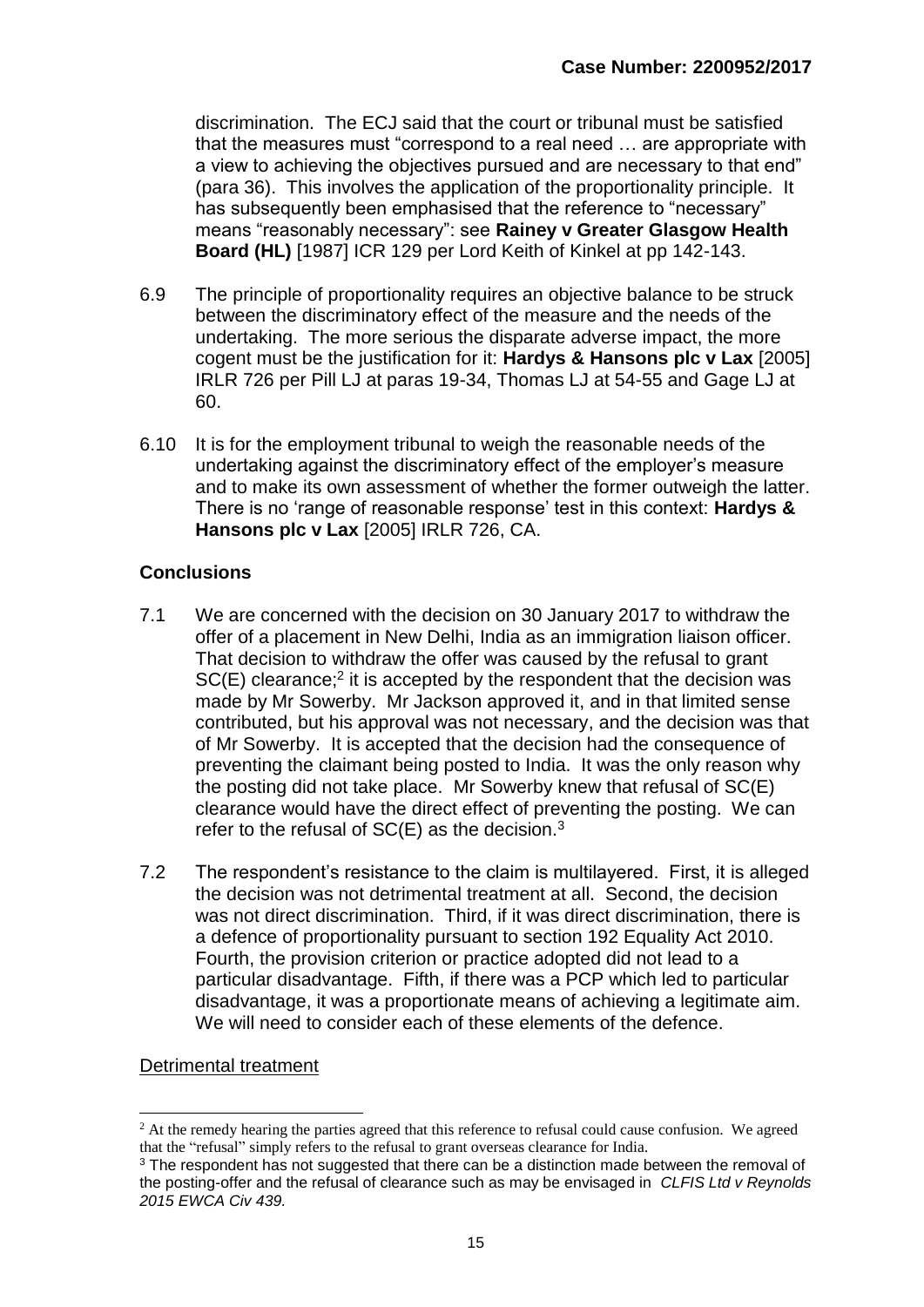discrimination. The ECJ said that the court or tribunal must be satisfied that the measures must "correspond to a real need … are appropriate with a view to achieving the objectives pursued and are necessary to that end" (para 36). This involves the application of the proportionality principle. It has subsequently been emphasised that the reference to "necessary" means "reasonably necessary": see **Rainey v Greater Glasgow Health Board (HL)** [1987] ICR 129 per Lord Keith of Kinkel at pp 142-143.

- 6.9 The principle of proportionality requires an objective balance to be struck between the discriminatory effect of the measure and the needs of the undertaking. The more serious the disparate adverse impact, the more cogent must be the justification for it: **Hardys & Hansons plc v Lax** [2005] IRLR 726 per Pill LJ at paras 19-34, Thomas LJ at 54-55 and Gage LJ at 60.
- 6.10 It is for the employment tribunal to weigh the reasonable needs of the undertaking against the discriminatory effect of the employer's measure and to make its own assessment of whether the former outweigh the latter. There is no 'range of reasonable response' test in this context: **Hardys & Hansons plc v Lax** [2005] IRLR 726, CA.

## **Conclusions**

- 7.1 We are concerned with the decision on 30 January 2017 to withdraw the offer of a placement in New Delhi, India as an immigration liaison officer. That decision to withdraw the offer was caused by the refusal to grant  $SC(E)$  clearance;<sup>2</sup> it is accepted by the respondent that the decision was made by Mr Sowerby. Mr Jackson approved it, and in that limited sense contributed, but his approval was not necessary, and the decision was that of Mr Sowerby. It is accepted that the decision had the consequence of preventing the claimant being posted to India. It was the only reason why the posting did not take place. Mr Sowerby knew that refusal of SC(E) clearance would have the direct effect of preventing the posting. We can refer to the refusal of  $SC(E)$  as the decision.<sup>3</sup>
- 7.2 The respondent's resistance to the claim is multilayered. First, it is alleged the decision was not detrimental treatment at all. Second, the decision was not direct discrimination. Third, if it was direct discrimination, there is a defence of proportionality pursuant to section 192 Equality Act 2010. Fourth, the provision criterion or practice adopted did not lead to a particular disadvantage. Fifth, if there was a PCP which led to particular disadvantage, it was a proportionate means of achieving a legitimate aim. We will need to consider each of these elements of the defence.

## Detrimental treatment

<sup>1</sup> <sup>2</sup> At the remedy hearing the parties agreed that this reference to refusal could cause confusion. We agreed that the "refusal" simply refers to the refusal to grant overseas clearance for India.

<sup>&</sup>lt;sup>3</sup> The respondent has not suggested that there can be a distinction made between the removal of the posting-offer and the refusal of clearance such as may be envisaged in *CLFIS Ltd v Reynolds 2015 EWCA Civ 439.*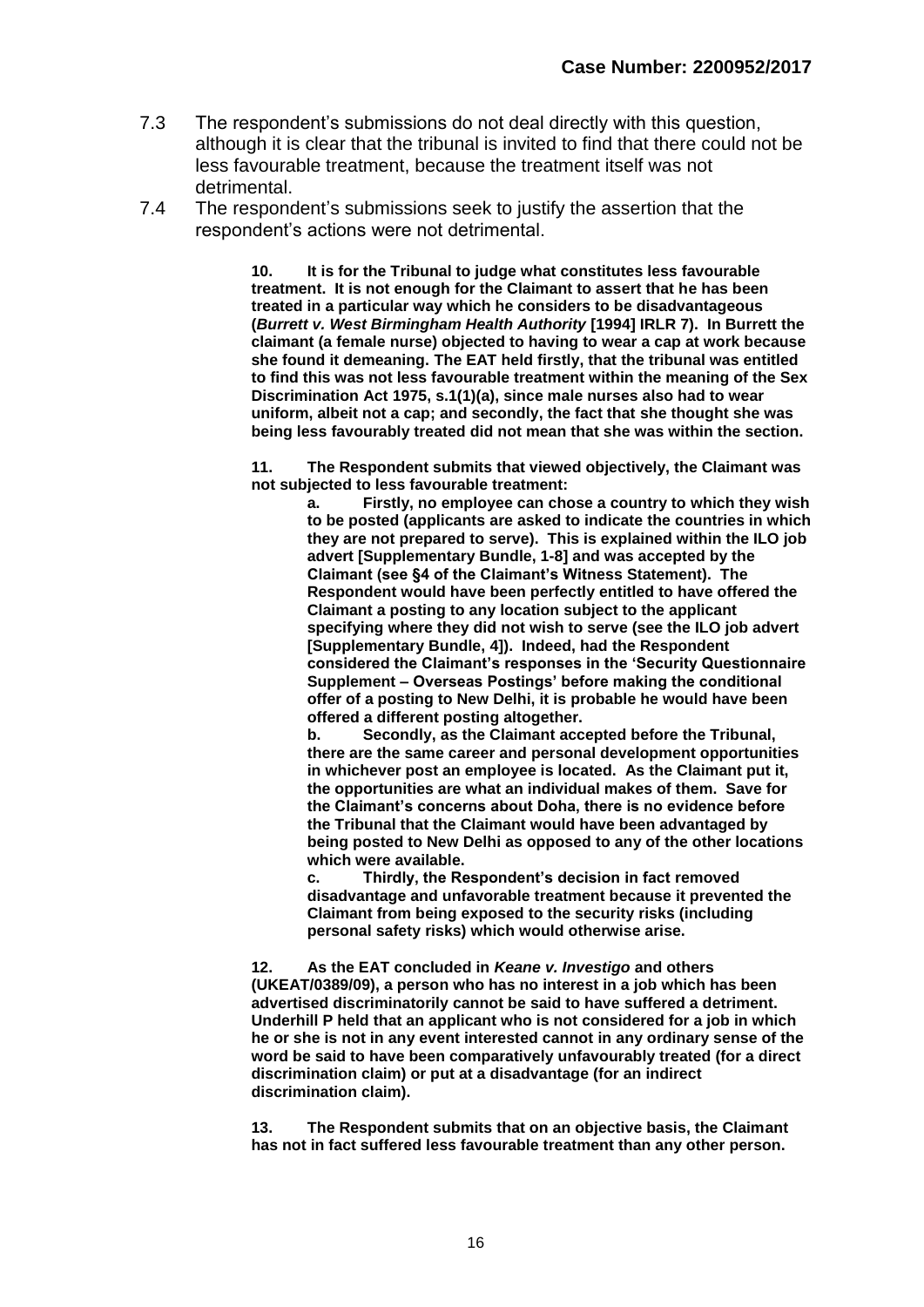- 7.3 The respondent's submissions do not deal directly with this question, although it is clear that the tribunal is invited to find that there could not be less favourable treatment, because the treatment itself was not detrimental.
- 7.4 The respondent's submissions seek to justify the assertion that the respondent's actions were not detrimental.

**10. It is for the Tribunal to judge what constitutes less favourable treatment. It is not enough for the Claimant to assert that he has been treated in a particular way which he considers to be disadvantageous (***Burrett v. West Birmingham Health Authority* **[1994] IRLR 7). In Burrett the claimant (a female nurse) objected to having to wear a cap at work because she found it demeaning. The EAT held firstly, that the tribunal was entitled to find this was not less favourable treatment within the meaning of the Sex Discrimination Act 1975, s.1(1)(a), since male nurses also had to wear uniform, albeit not a cap; and secondly, the fact that she thought she was being less favourably treated did not mean that she was within the section.**

**11. The Respondent submits that viewed objectively, the Claimant was not subjected to less favourable treatment:**

**a. Firstly, no employee can chose a country to which they wish to be posted (applicants are asked to indicate the countries in which they are not prepared to serve). This is explained within the ILO job advert [Supplementary Bundle, 1-8] and was accepted by the Claimant (see §4 of the Claimant's Witness Statement). The Respondent would have been perfectly entitled to have offered the Claimant a posting to any location subject to the applicant specifying where they did not wish to serve (see the ILO job advert [Supplementary Bundle, 4]). Indeed, had the Respondent considered the Claimant's responses in the 'Security Questionnaire Supplement – Overseas Postings' before making the conditional offer of a posting to New Delhi, it is probable he would have been offered a different posting altogether.**

**b. Secondly, as the Claimant accepted before the Tribunal, there are the same career and personal development opportunities in whichever post an employee is located. As the Claimant put it, the opportunities are what an individual makes of them. Save for the Claimant's concerns about Doha, there is no evidence before the Tribunal that the Claimant would have been advantaged by being posted to New Delhi as opposed to any of the other locations which were available.**

**c. Thirdly, the Respondent's decision in fact removed disadvantage and unfavorable treatment because it prevented the Claimant from being exposed to the security risks (including personal safety risks) which would otherwise arise.**

**12. As the EAT concluded in** *Keane v. Investigo* **and others (UKEAT/0389/09), a person who has no interest in a job which has been advertised discriminatorily cannot be said to have suffered a detriment. Underhill P held that an applicant who is not considered for a job in which he or she is not in any event interested cannot in any ordinary sense of the word be said to have been comparatively unfavourably treated (for a direct discrimination claim) or put at a disadvantage (for an indirect discrimination claim).**

**13. The Respondent submits that on an objective basis, the Claimant has not in fact suffered less favourable treatment than any other person.**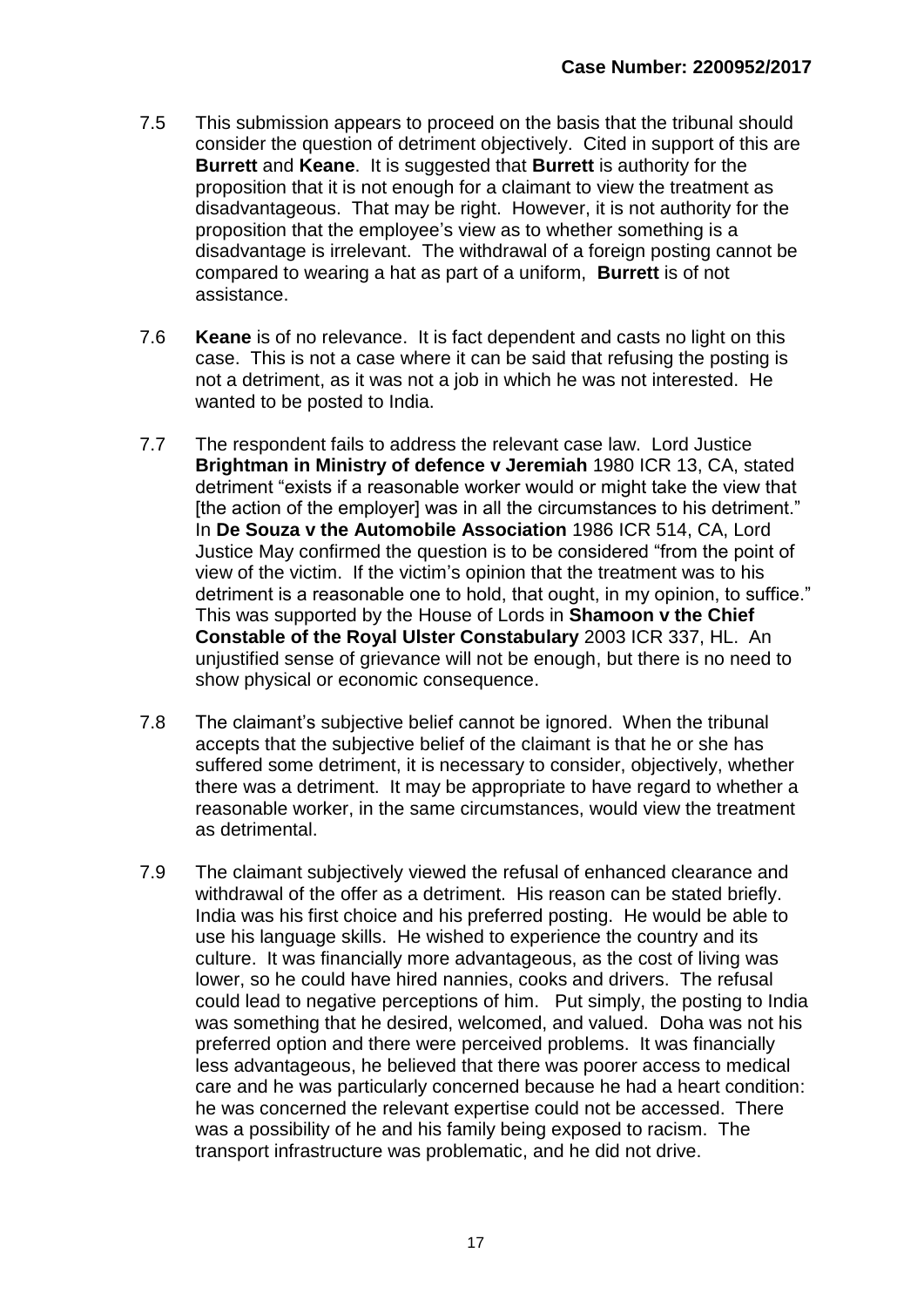- 7.5 This submission appears to proceed on the basis that the tribunal should consider the question of detriment objectively. Cited in support of this are **Burrett** and **Keane**. It is suggested that **Burrett** is authority for the proposition that it is not enough for a claimant to view the treatment as disadvantageous. That may be right. However, it is not authority for the proposition that the employee's view as to whether something is a disadvantage is irrelevant. The withdrawal of a foreign posting cannot be compared to wearing a hat as part of a uniform, **Burrett** is of not assistance.
- 7.6 **Keane** is of no relevance. It is fact dependent and casts no light on this case. This is not a case where it can be said that refusing the posting is not a detriment, as it was not a job in which he was not interested. He wanted to be posted to India.
- 7.7 The respondent fails to address the relevant case law. Lord Justice **Brightman in Ministry of defence v Jeremiah** 1980 ICR 13, CA, stated detriment "exists if a reasonable worker would or might take the view that [the action of the employer] was in all the circumstances to his detriment." In **De Souza v the Automobile Association** 1986 ICR 514, CA, Lord Justice May confirmed the question is to be considered "from the point of view of the victim. If the victim's opinion that the treatment was to his detriment is a reasonable one to hold, that ought, in my opinion, to suffice." This was supported by the House of Lords in **Shamoon v the Chief Constable of the Royal Ulster Constabulary** 2003 ICR 337, HL. An unjustified sense of grievance will not be enough, but there is no need to show physical or economic consequence.
- 7.8 The claimant's subjective belief cannot be ignored. When the tribunal accepts that the subjective belief of the claimant is that he or she has suffered some detriment, it is necessary to consider, objectively, whether there was a detriment. It may be appropriate to have regard to whether a reasonable worker, in the same circumstances, would view the treatment as detrimental.
- 7.9 The claimant subjectively viewed the refusal of enhanced clearance and withdrawal of the offer as a detriment. His reason can be stated briefly. India was his first choice and his preferred posting. He would be able to use his language skills. He wished to experience the country and its culture. It was financially more advantageous, as the cost of living was lower, so he could have hired nannies, cooks and drivers. The refusal could lead to negative perceptions of him. Put simply, the posting to India was something that he desired, welcomed, and valued. Doha was not his preferred option and there were perceived problems. It was financially less advantageous, he believed that there was poorer access to medical care and he was particularly concerned because he had a heart condition: he was concerned the relevant expertise could not be accessed. There was a possibility of he and his family being exposed to racism. The transport infrastructure was problematic, and he did not drive.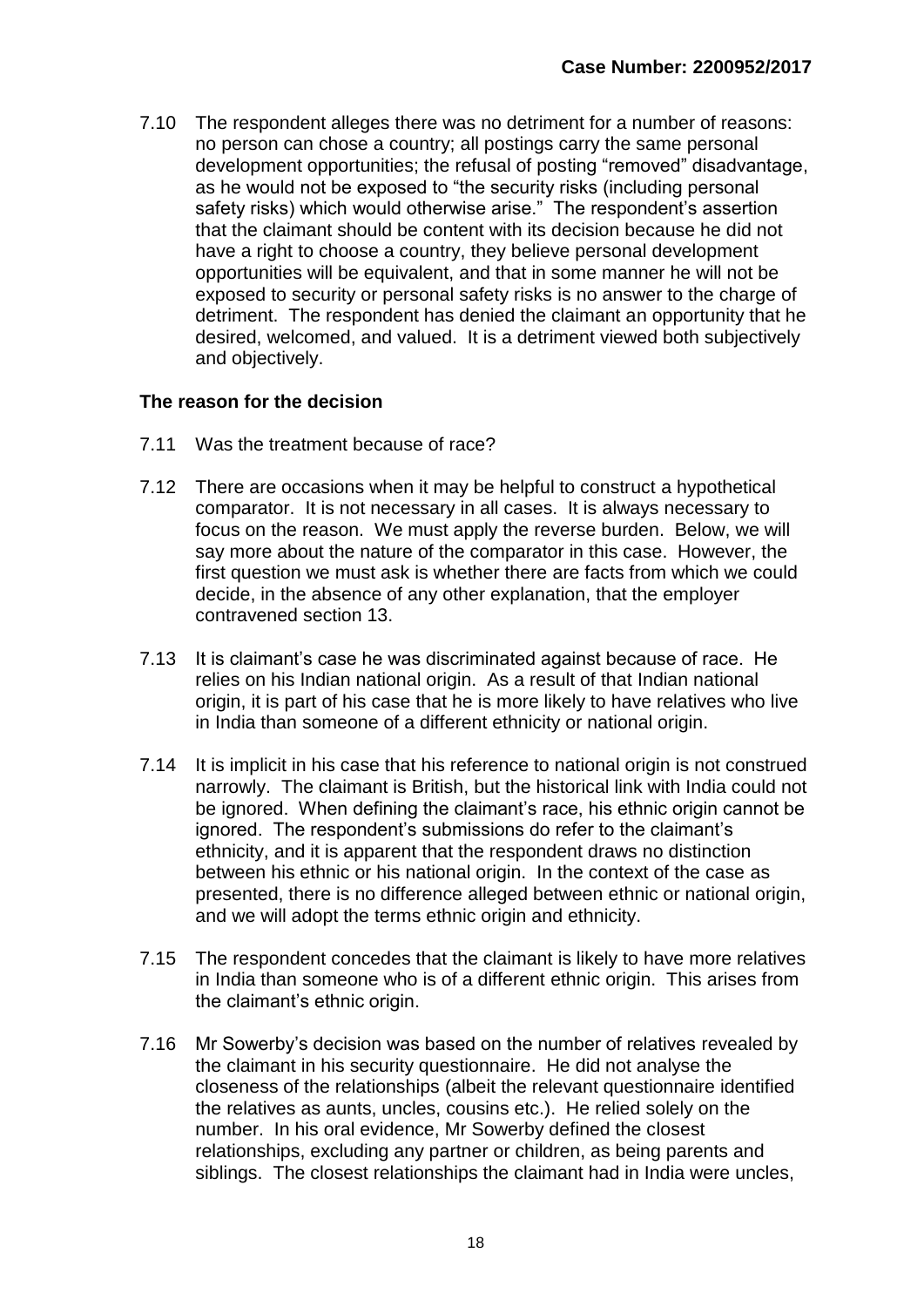7.10 The respondent alleges there was no detriment for a number of reasons: no person can chose a country; all postings carry the same personal development opportunities; the refusal of posting "removed" disadvantage, as he would not be exposed to "the security risks (including personal safety risks) which would otherwise arise." The respondent's assertion that the claimant should be content with its decision because he did not have a right to choose a country, they believe personal development opportunities will be equivalent, and that in some manner he will not be exposed to security or personal safety risks is no answer to the charge of detriment. The respondent has denied the claimant an opportunity that he desired, welcomed, and valued. It is a detriment viewed both subjectively and objectively.

#### **The reason for the decision**

- 7.11 Was the treatment because of race?
- 7.12 There are occasions when it may be helpful to construct a hypothetical comparator. It is not necessary in all cases. It is always necessary to focus on the reason. We must apply the reverse burden. Below, we will say more about the nature of the comparator in this case. However, the first question we must ask is whether there are facts from which we could decide, in the absence of any other explanation, that the employer contravened section 13.
- 7.13 It is claimant's case he was discriminated against because of race. He relies on his Indian national origin. As a result of that Indian national origin, it is part of his case that he is more likely to have relatives who live in India than someone of a different ethnicity or national origin.
- 7.14 It is implicit in his case that his reference to national origin is not construed narrowly. The claimant is British, but the historical link with India could not be ignored. When defining the claimant's race, his ethnic origin cannot be ignored. The respondent's submissions do refer to the claimant's ethnicity, and it is apparent that the respondent draws no distinction between his ethnic or his national origin. In the context of the case as presented, there is no difference alleged between ethnic or national origin, and we will adopt the terms ethnic origin and ethnicity.
- 7.15 The respondent concedes that the claimant is likely to have more relatives in India than someone who is of a different ethnic origin. This arises from the claimant's ethnic origin.
- 7.16 Mr Sowerby's decision was based on the number of relatives revealed by the claimant in his security questionnaire. He did not analyse the closeness of the relationships (albeit the relevant questionnaire identified the relatives as aunts, uncles, cousins etc.). He relied solely on the number. In his oral evidence, Mr Sowerby defined the closest relationships, excluding any partner or children, as being parents and siblings. The closest relationships the claimant had in India were uncles,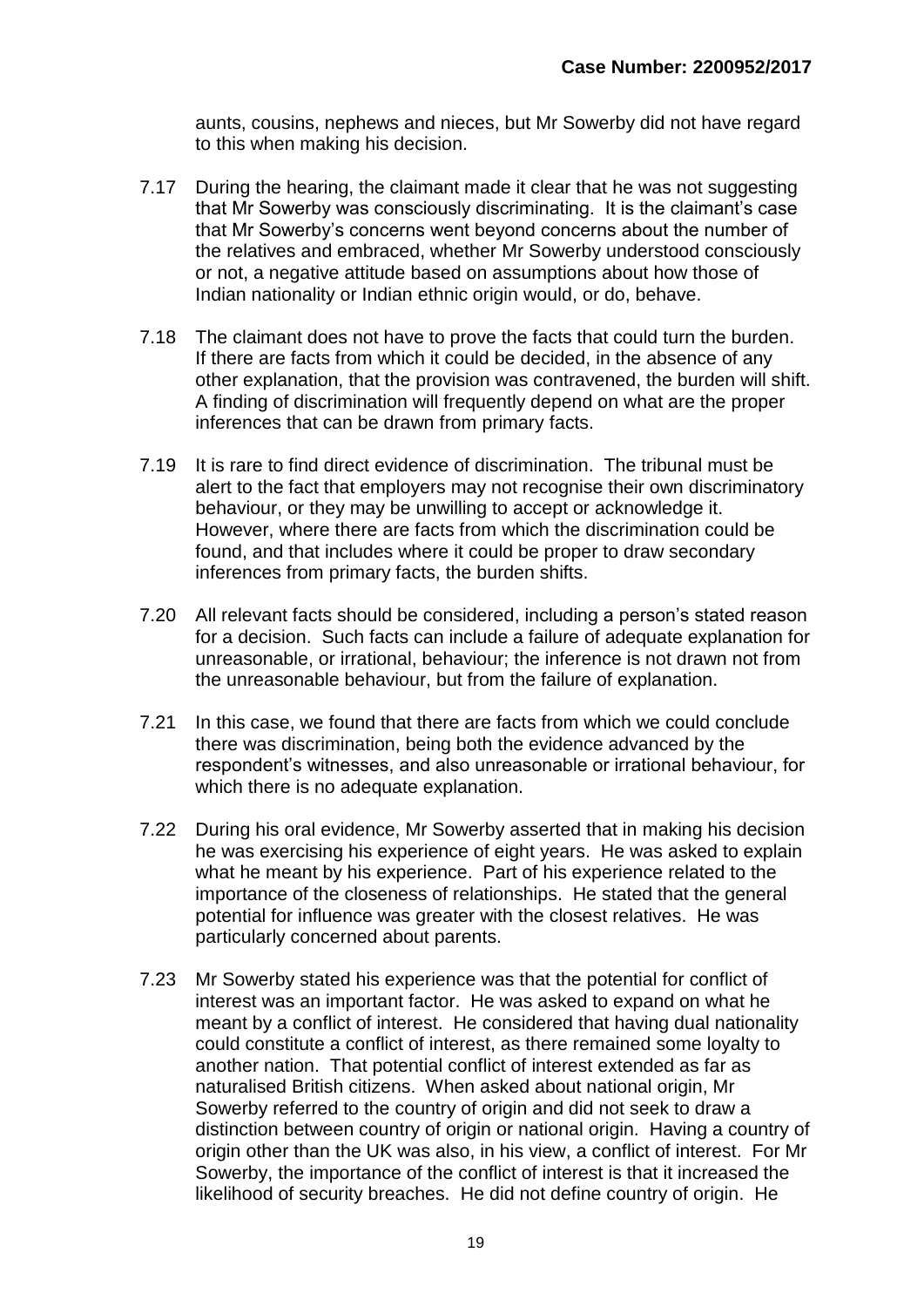aunts, cousins, nephews and nieces, but Mr Sowerby did not have regard to this when making his decision.

- 7.17 During the hearing, the claimant made it clear that he was not suggesting that Mr Sowerby was consciously discriminating. It is the claimant's case that Mr Sowerby's concerns went beyond concerns about the number of the relatives and embraced, whether Mr Sowerby understood consciously or not, a negative attitude based on assumptions about how those of Indian nationality or Indian ethnic origin would, or do, behave.
- 7.18 The claimant does not have to prove the facts that could turn the burden. If there are facts from which it could be decided, in the absence of any other explanation, that the provision was contravened, the burden will shift. A finding of discrimination will frequently depend on what are the proper inferences that can be drawn from primary facts.
- 7.19 It is rare to find direct evidence of discrimination. The tribunal must be alert to the fact that employers may not recognise their own discriminatory behaviour, or they may be unwilling to accept or acknowledge it. However, where there are facts from which the discrimination could be found, and that includes where it could be proper to draw secondary inferences from primary facts, the burden shifts.
- 7.20 All relevant facts should be considered, including a person's stated reason for a decision. Such facts can include a failure of adequate explanation for unreasonable, or irrational, behaviour; the inference is not drawn not from the unreasonable behaviour, but from the failure of explanation.
- 7.21 In this case, we found that there are facts from which we could conclude there was discrimination, being both the evidence advanced by the respondent's witnesses, and also unreasonable or irrational behaviour, for which there is no adequate explanation.
- 7.22 During his oral evidence, Mr Sowerby asserted that in making his decision he was exercising his experience of eight years. He was asked to explain what he meant by his experience. Part of his experience related to the importance of the closeness of relationships. He stated that the general potential for influence was greater with the closest relatives. He was particularly concerned about parents.
- 7.23 Mr Sowerby stated his experience was that the potential for conflict of interest was an important factor. He was asked to expand on what he meant by a conflict of interest. He considered that having dual nationality could constitute a conflict of interest, as there remained some loyalty to another nation. That potential conflict of interest extended as far as naturalised British citizens. When asked about national origin, Mr Sowerby referred to the country of origin and did not seek to draw a distinction between country of origin or national origin. Having a country of origin other than the UK was also, in his view, a conflict of interest. For Mr Sowerby, the importance of the conflict of interest is that it increased the likelihood of security breaches. He did not define country of origin. He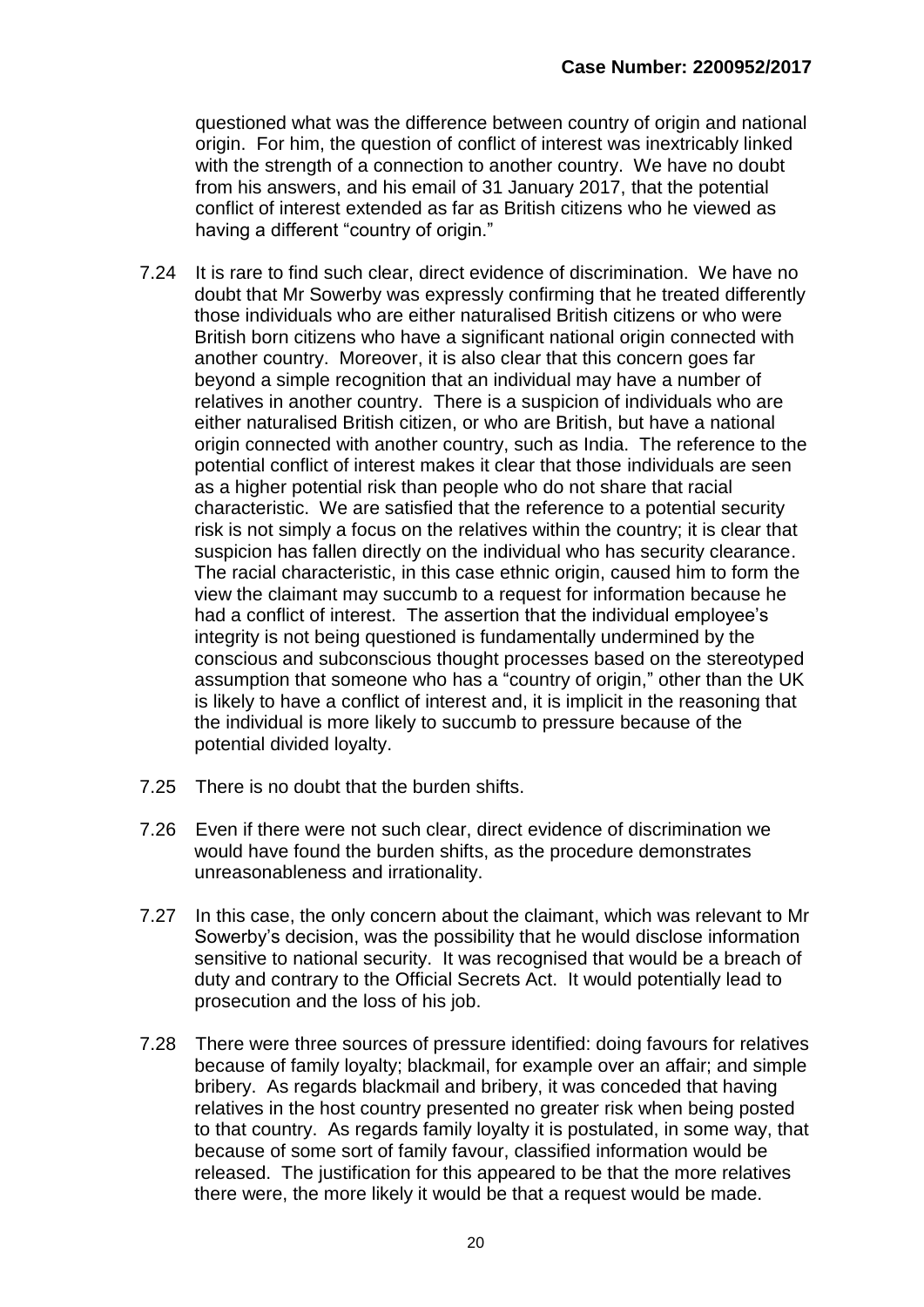questioned what was the difference between country of origin and national origin. For him, the question of conflict of interest was inextricably linked with the strength of a connection to another country. We have no doubt from his answers, and his email of 31 January 2017, that the potential conflict of interest extended as far as British citizens who he viewed as having a different "country of origin."

- 7.24 It is rare to find such clear, direct evidence of discrimination. We have no doubt that Mr Sowerby was expressly confirming that he treated differently those individuals who are either naturalised British citizens or who were British born citizens who have a significant national origin connected with another country. Moreover, it is also clear that this concern goes far beyond a simple recognition that an individual may have a number of relatives in another country. There is a suspicion of individuals who are either naturalised British citizen, or who are British, but have a national origin connected with another country, such as India. The reference to the potential conflict of interest makes it clear that those individuals are seen as a higher potential risk than people who do not share that racial characteristic. We are satisfied that the reference to a potential security risk is not simply a focus on the relatives within the country; it is clear that suspicion has fallen directly on the individual who has security clearance. The racial characteristic, in this case ethnic origin, caused him to form the view the claimant may succumb to a request for information because he had a conflict of interest. The assertion that the individual employee's integrity is not being questioned is fundamentally undermined by the conscious and subconscious thought processes based on the stereotyped assumption that someone who has a "country of origin," other than the UK is likely to have a conflict of interest and, it is implicit in the reasoning that the individual is more likely to succumb to pressure because of the potential divided loyalty.
- 7.25 There is no doubt that the burden shifts.
- 7.26 Even if there were not such clear, direct evidence of discrimination we would have found the burden shifts, as the procedure demonstrates unreasonableness and irrationality.
- 7.27 In this case, the only concern about the claimant, which was relevant to Mr Sowerby's decision, was the possibility that he would disclose information sensitive to national security. It was recognised that would be a breach of duty and contrary to the Official Secrets Act. It would potentially lead to prosecution and the loss of his job.
- 7.28 There were three sources of pressure identified: doing favours for relatives because of family loyalty; blackmail, for example over an affair; and simple bribery. As regards blackmail and bribery, it was conceded that having relatives in the host country presented no greater risk when being posted to that country. As regards family loyalty it is postulated, in some way, that because of some sort of family favour, classified information would be released. The justification for this appeared to be that the more relatives there were, the more likely it would be that a request would be made.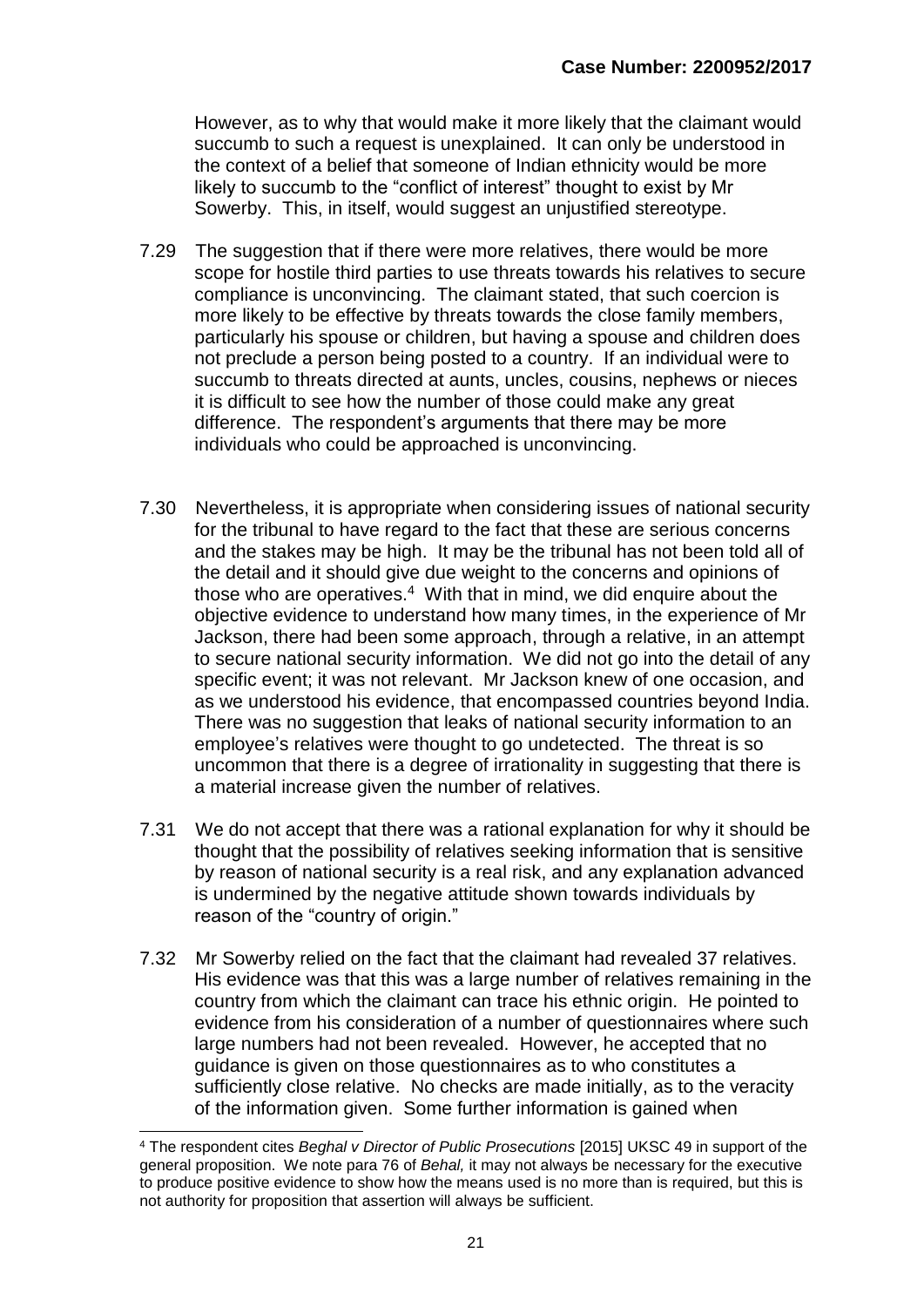However, as to why that would make it more likely that the claimant would succumb to such a request is unexplained. It can only be understood in the context of a belief that someone of Indian ethnicity would be more likely to succumb to the "conflict of interest" thought to exist by Mr Sowerby. This, in itself, would suggest an unjustified stereotype.

- 7.29 The suggestion that if there were more relatives, there would be more scope for hostile third parties to use threats towards his relatives to secure compliance is unconvincing. The claimant stated, that such coercion is more likely to be effective by threats towards the close family members, particularly his spouse or children, but having a spouse and children does not preclude a person being posted to a country. If an individual were to succumb to threats directed at aunts, uncles, cousins, nephews or nieces it is difficult to see how the number of those could make any great difference. The respondent's arguments that there may be more individuals who could be approached is unconvincing.
- 7.30 Nevertheless, it is appropriate when considering issues of national security for the tribunal to have regard to the fact that these are serious concerns and the stakes may be high. It may be the tribunal has not been told all of the detail and it should give due weight to the concerns and opinions of those who are operatives.<sup>4</sup> With that in mind, we did enquire about the objective evidence to understand how many times, in the experience of Mr Jackson, there had been some approach, through a relative, in an attempt to secure national security information. We did not go into the detail of any specific event; it was not relevant. Mr Jackson knew of one occasion, and as we understood his evidence, that encompassed countries beyond India. There was no suggestion that leaks of national security information to an employee's relatives were thought to go undetected. The threat is so uncommon that there is a degree of irrationality in suggesting that there is a material increase given the number of relatives.
- 7.31 We do not accept that there was a rational explanation for why it should be thought that the possibility of relatives seeking information that is sensitive by reason of national security is a real risk, and any explanation advanced is undermined by the negative attitude shown towards individuals by reason of the "country of origin."
- 7.32 Mr Sowerby relied on the fact that the claimant had revealed 37 relatives. His evidence was that this was a large number of relatives remaining in the country from which the claimant can trace his ethnic origin. He pointed to evidence from his consideration of a number of questionnaires where such large numbers had not been revealed. However, he accepted that no guidance is given on those questionnaires as to who constitutes a sufficiently close relative. No checks are made initially, as to the veracity of the information given. Some further information is gained when

<sup>-</sup><sup>4</sup> The respondent cites *Beghal v Director of Public Prosecutions* [2015] UKSC 49 in support of the general proposition. We note para 76 of *Behal,* it may not always be necessary for the executive to produce positive evidence to show how the means used is no more than is required, but this is not authority for proposition that assertion will always be sufficient.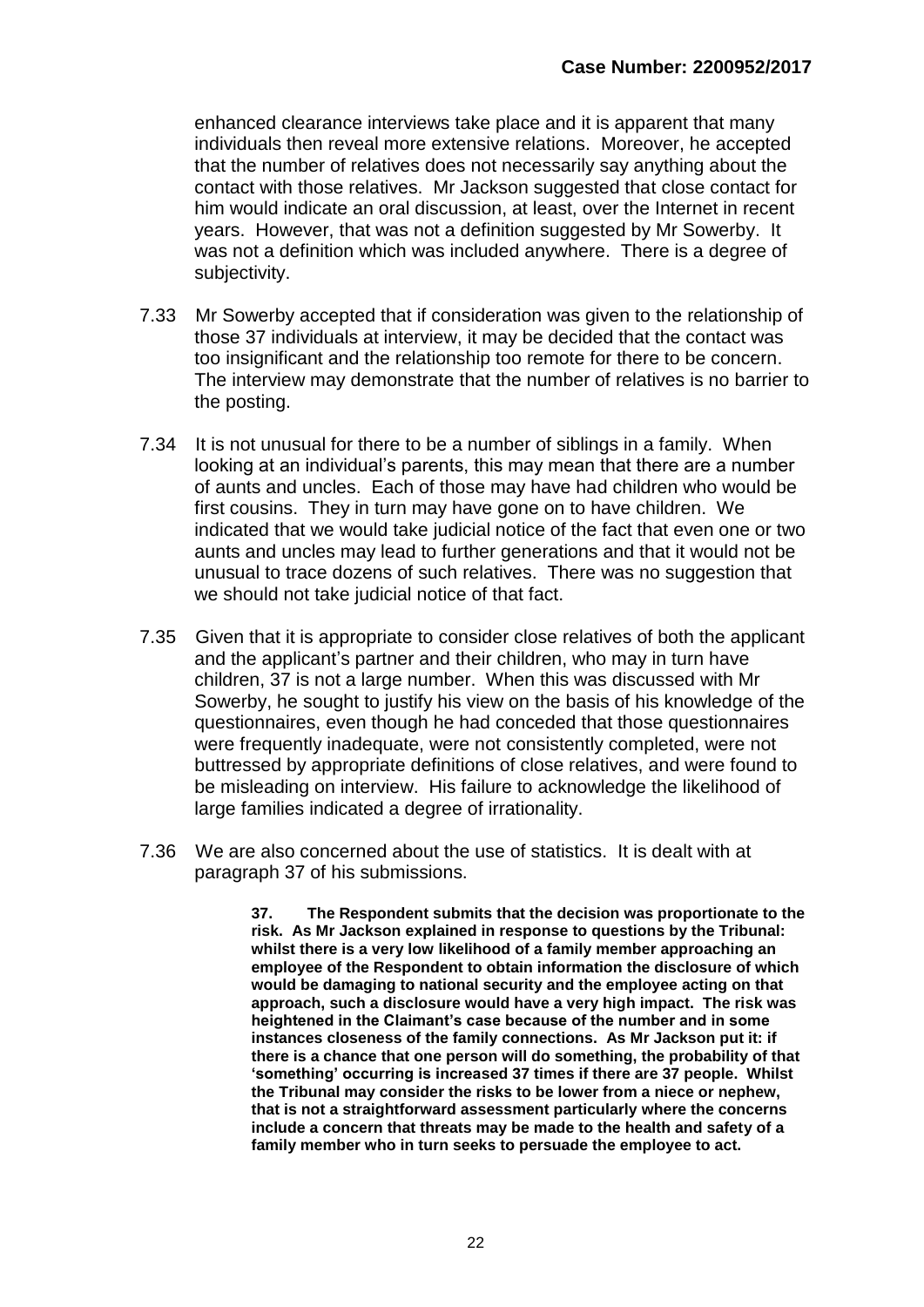enhanced clearance interviews take place and it is apparent that many individuals then reveal more extensive relations. Moreover, he accepted that the number of relatives does not necessarily say anything about the contact with those relatives. Mr Jackson suggested that close contact for him would indicate an oral discussion, at least, over the Internet in recent years. However, that was not a definition suggested by Mr Sowerby. It was not a definition which was included anywhere. There is a degree of subjectivity.

- 7.33 Mr Sowerby accepted that if consideration was given to the relationship of those 37 individuals at interview, it may be decided that the contact was too insignificant and the relationship too remote for there to be concern. The interview may demonstrate that the number of relatives is no barrier to the posting.
- 7.34 It is not unusual for there to be a number of siblings in a family. When looking at an individual's parents, this may mean that there are a number of aunts and uncles. Each of those may have had children who would be first cousins. They in turn may have gone on to have children. We indicated that we would take judicial notice of the fact that even one or two aunts and uncles may lead to further generations and that it would not be unusual to trace dozens of such relatives. There was no suggestion that we should not take judicial notice of that fact.
- 7.35 Given that it is appropriate to consider close relatives of both the applicant and the applicant's partner and their children, who may in turn have children, 37 is not a large number. When this was discussed with Mr Sowerby, he sought to justify his view on the basis of his knowledge of the questionnaires, even though he had conceded that those questionnaires were frequently inadequate, were not consistently completed, were not buttressed by appropriate definitions of close relatives, and were found to be misleading on interview. His failure to acknowledge the likelihood of large families indicated a degree of irrationality.
- 7.36 We are also concerned about the use of statistics. It is dealt with at paragraph 37 of his submissions.

**37. The Respondent submits that the decision was proportionate to the risk. As Mr Jackson explained in response to questions by the Tribunal: whilst there is a very low likelihood of a family member approaching an employee of the Respondent to obtain information the disclosure of which would be damaging to national security and the employee acting on that approach, such a disclosure would have a very high impact. The risk was heightened in the Claimant's case because of the number and in some instances closeness of the family connections. As Mr Jackson put it: if there is a chance that one person will do something, the probability of that 'something' occurring is increased 37 times if there are 37 people. Whilst the Tribunal may consider the risks to be lower from a niece or nephew, that is not a straightforward assessment particularly where the concerns include a concern that threats may be made to the health and safety of a family member who in turn seeks to persuade the employee to act.**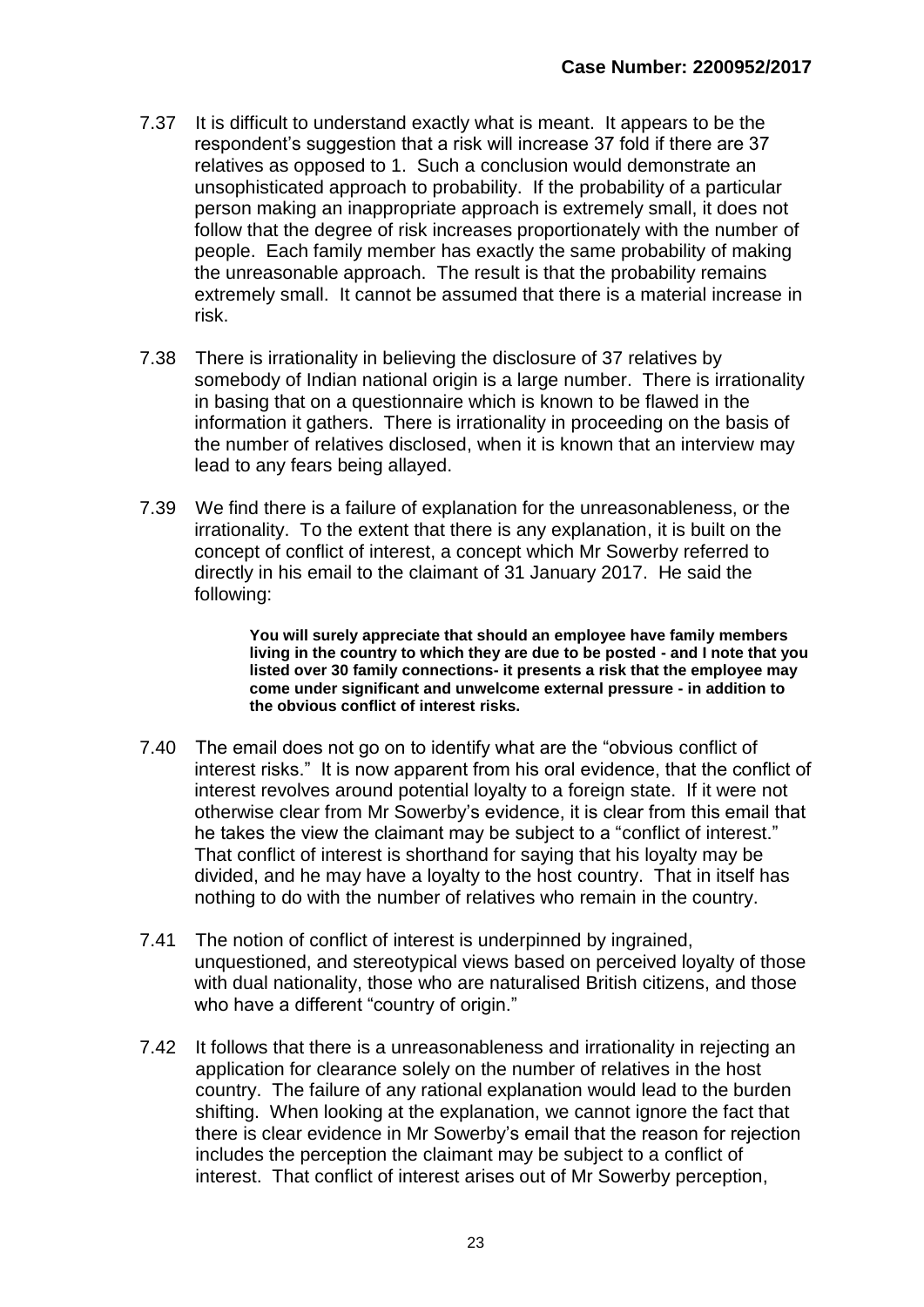- 7.37 It is difficult to understand exactly what is meant. It appears to be the respondent's suggestion that a risk will increase 37 fold if there are 37 relatives as opposed to 1. Such a conclusion would demonstrate an unsophisticated approach to probability. If the probability of a particular person making an inappropriate approach is extremely small, it does not follow that the degree of risk increases proportionately with the number of people. Each family member has exactly the same probability of making the unreasonable approach. The result is that the probability remains extremely small. It cannot be assumed that there is a material increase in risk.
- 7.38 There is irrationality in believing the disclosure of 37 relatives by somebody of Indian national origin is a large number. There is irrationality in basing that on a questionnaire which is known to be flawed in the information it gathers. There is irrationality in proceeding on the basis of the number of relatives disclosed, when it is known that an interview may lead to any fears being allayed.
- 7.39 We find there is a failure of explanation for the unreasonableness, or the irrationality. To the extent that there is any explanation, it is built on the concept of conflict of interest, a concept which Mr Sowerby referred to directly in his email to the claimant of 31 January 2017. He said the following:

**You will surely appreciate that should an employee have family members living in the country to which they are due to be posted - and I note that you listed over 30 family connections- it presents a risk that the employee may come under significant and unwelcome external pressure - in addition to the obvious conflict of interest risks.** 

- 7.40 The email does not go on to identify what are the "obvious conflict of interest risks." It is now apparent from his oral evidence, that the conflict of interest revolves around potential loyalty to a foreign state. If it were not otherwise clear from Mr Sowerby's evidence, it is clear from this email that he takes the view the claimant may be subject to a "conflict of interest." That conflict of interest is shorthand for saying that his loyalty may be divided, and he may have a loyalty to the host country. That in itself has nothing to do with the number of relatives who remain in the country.
- 7.41 The notion of conflict of interest is underpinned by ingrained, unquestioned, and stereotypical views based on perceived loyalty of those with dual nationality, those who are naturalised British citizens, and those who have a different "country of origin."
- 7.42 It follows that there is a unreasonableness and irrationality in rejecting an application for clearance solely on the number of relatives in the host country. The failure of any rational explanation would lead to the burden shifting. When looking at the explanation, we cannot ignore the fact that there is clear evidence in Mr Sowerby's email that the reason for rejection includes the perception the claimant may be subject to a conflict of interest. That conflict of interest arises out of Mr Sowerby perception,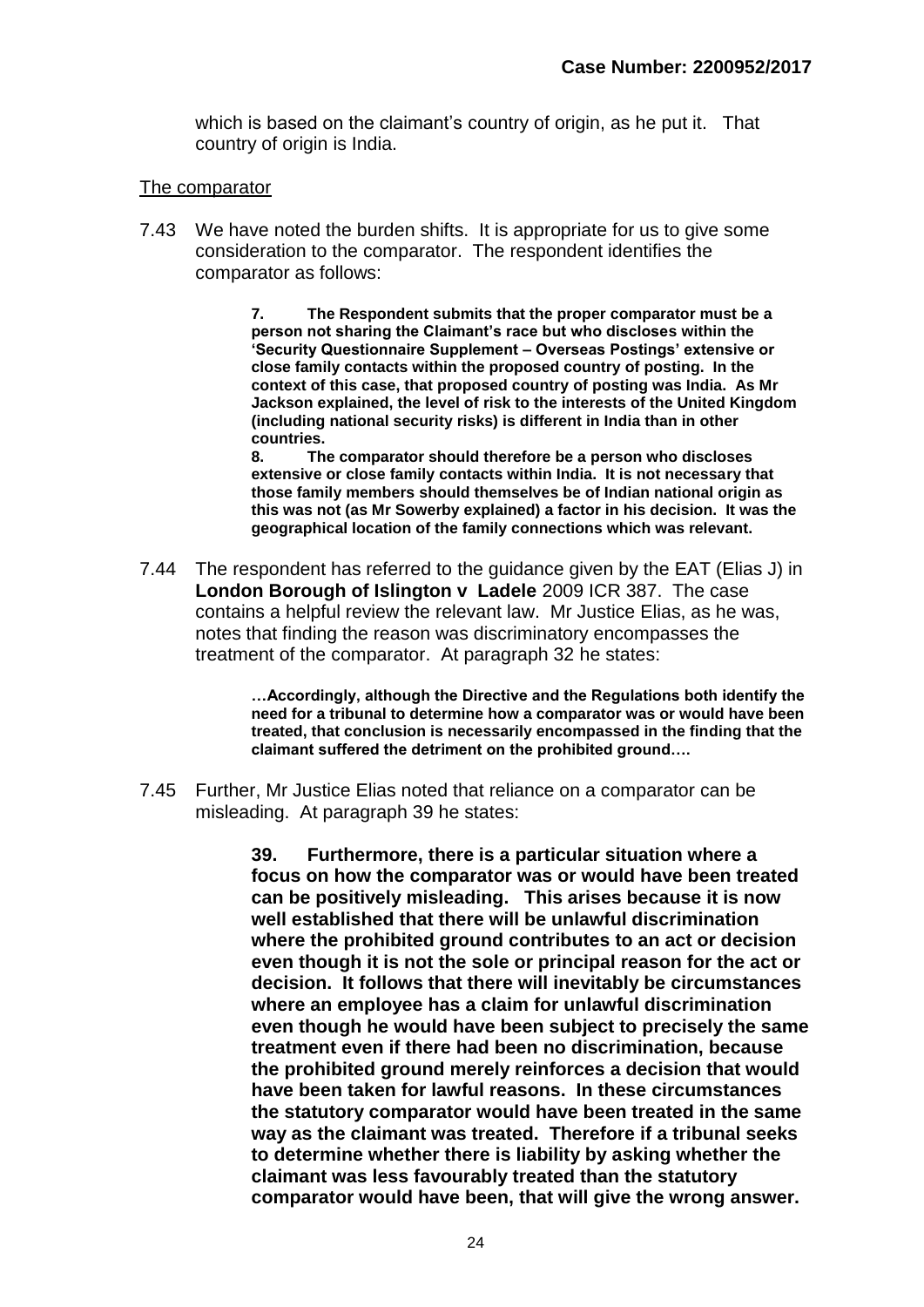which is based on the claimant's country of origin, as he put it. That country of origin is India.

#### The comparator

7.43 We have noted the burden shifts. It is appropriate for us to give some consideration to the comparator. The respondent identifies the comparator as follows:

> **7. The Respondent submits that the proper comparator must be a person not sharing the Claimant's race but who discloses within the 'Security Questionnaire Supplement – Overseas Postings' extensive or close family contacts within the proposed country of posting. In the context of this case, that proposed country of posting was India. As Mr Jackson explained, the level of risk to the interests of the United Kingdom (including national security risks) is different in India than in other countries.**

> **8. The comparator should therefore be a person who discloses extensive or close family contacts within India. It is not necessary that those family members should themselves be of Indian national origin as this was not (as Mr Sowerby explained) a factor in his decision. It was the geographical location of the family connections which was relevant.**

7.44 The respondent has referred to the guidance given by the EAT (Elias J) in **London Borough of Islington v Ladele** 2009 ICR 387. The case contains a helpful review the relevant law. Mr Justice Elias, as he was, notes that finding the reason was discriminatory encompasses the treatment of the comparator. At paragraph 32 he states:

> **…Accordingly, although the Directive and the Regulations both identify the need for a tribunal to determine how a comparator was or would have been treated, that conclusion is necessarily encompassed in the finding that the claimant suffered the detriment on the prohibited ground….**

7.45 Further, Mr Justice Elias noted that reliance on a comparator can be misleading. At paragraph 39 he states:

> **39. Furthermore, there is a particular situation where a focus on how the comparator was or would have been treated can be positively misleading. This arises because it is now well established that there will be unlawful discrimination where the prohibited ground contributes to an act or decision even though it is not the sole or principal reason for the act or decision. It follows that there will inevitably be circumstances where an employee has a claim for unlawful discrimination even though he would have been subject to precisely the same treatment even if there had been no discrimination, because the prohibited ground merely reinforces a decision that would have been taken for lawful reasons. In these circumstances the statutory comparator would have been treated in the same way as the claimant was treated. Therefore if a tribunal seeks to determine whether there is liability by asking whether the claimant was less favourably treated than the statutory comparator would have been, that will give the wrong answer.**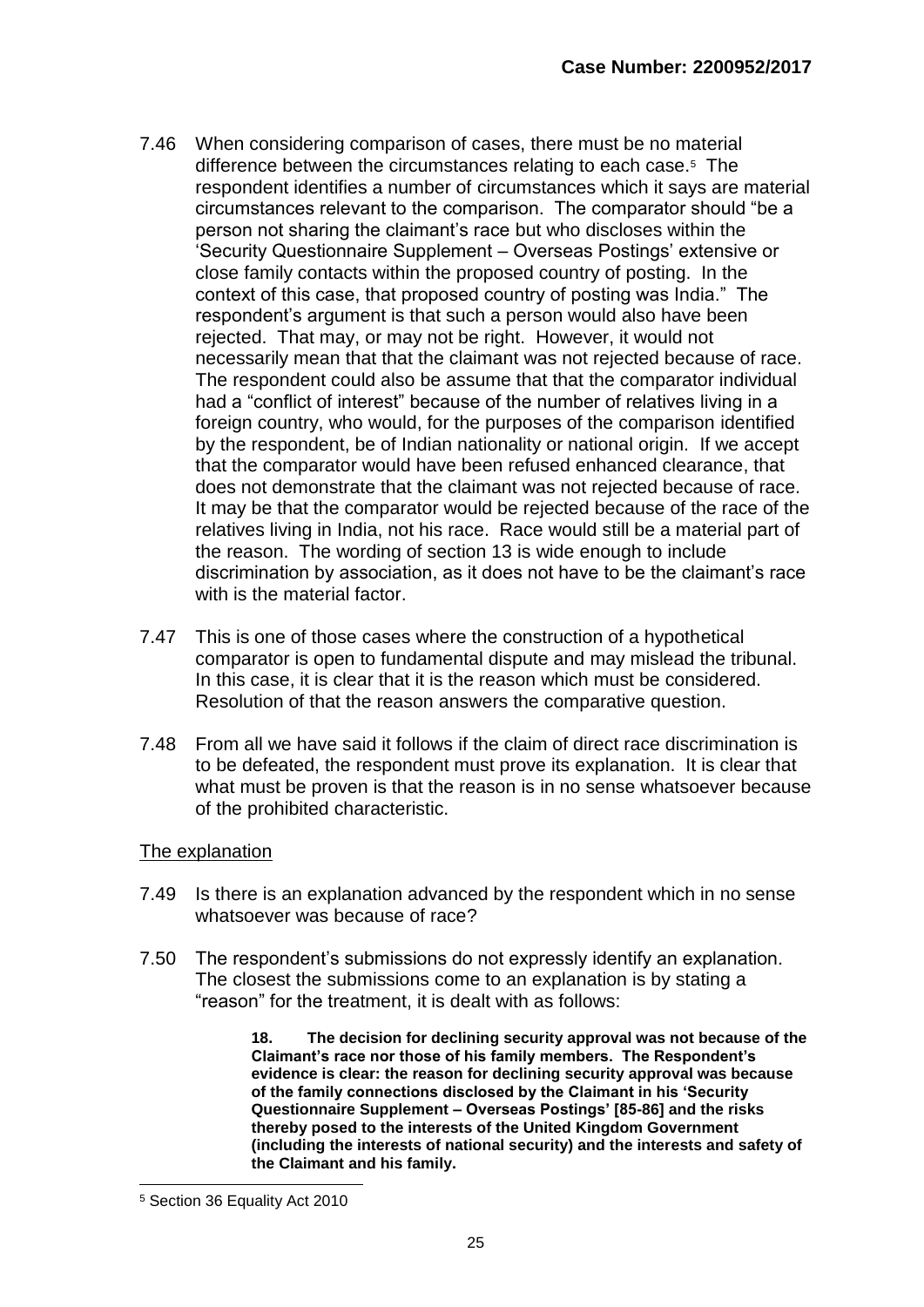- 7.46 When considering comparison of cases, there must be no material difference between the circumstances relating to each case.<sup>5</sup> The respondent identifies a number of circumstances which it says are material circumstances relevant to the comparison. The comparator should "be a person not sharing the claimant's race but who discloses within the 'Security Questionnaire Supplement – Overseas Postings' extensive or close family contacts within the proposed country of posting. In the context of this case, that proposed country of posting was India." The respondent's argument is that such a person would also have been rejected. That may, or may not be right. However, it would not necessarily mean that that the claimant was not rejected because of race. The respondent could also be assume that that the comparator individual had a "conflict of interest" because of the number of relatives living in a foreign country, who would, for the purposes of the comparison identified by the respondent, be of Indian nationality or national origin. If we accept that the comparator would have been refused enhanced clearance, that does not demonstrate that the claimant was not rejected because of race. It may be that the comparator would be rejected because of the race of the relatives living in India, not his race. Race would still be a material part of the reason. The wording of section 13 is wide enough to include discrimination by association, as it does not have to be the claimant's race with is the material factor.
- 7.47 This is one of those cases where the construction of a hypothetical comparator is open to fundamental dispute and may mislead the tribunal. In this case, it is clear that it is the reason which must be considered. Resolution of that the reason answers the comparative question.
- 7.48 From all we have said it follows if the claim of direct race discrimination is to be defeated, the respondent must prove its explanation. It is clear that what must be proven is that the reason is in no sense whatsoever because of the prohibited characteristic.

#### The explanation

- 7.49 Is there is an explanation advanced by the respondent which in no sense whatsoever was because of race?
- 7.50 The respondent's submissions do not expressly identify an explanation. The closest the submissions come to an explanation is by stating a "reason" for the treatment, it is dealt with as follows:

**18. The decision for declining security approval was not because of the Claimant's race nor those of his family members. The Respondent's evidence is clear: the reason for declining security approval was because of the family connections disclosed by the Claimant in his 'Security Questionnaire Supplement – Overseas Postings' [85-86] and the risks thereby posed to the interests of the United Kingdom Government (including the interests of national security) and the interests and safety of the Claimant and his family.** 

<sup>-</sup><sup>5</sup> Section 36 Equality Act 2010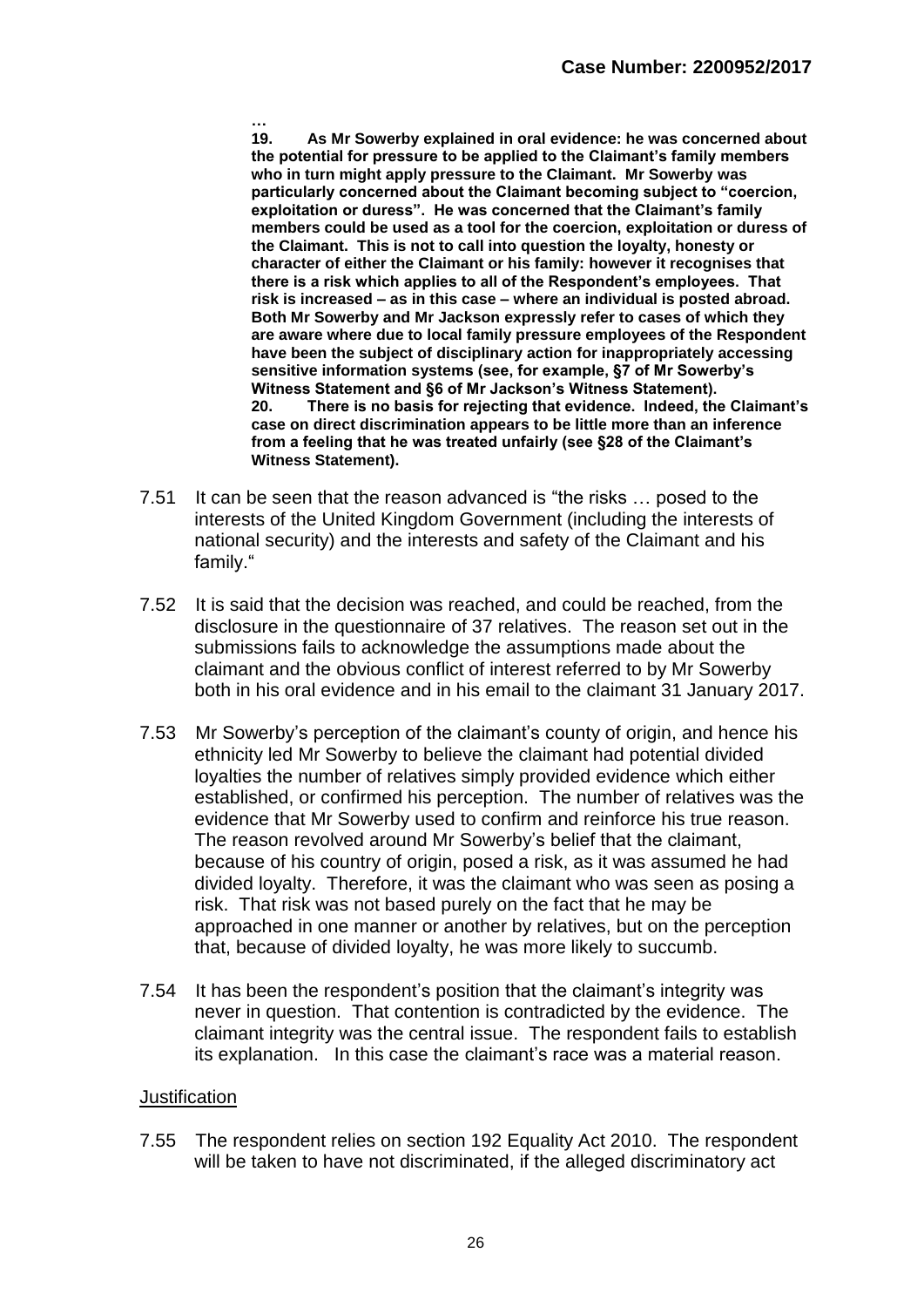**… 19. As Mr Sowerby explained in oral evidence: he was concerned about the potential for pressure to be applied to the Claimant's family members who in turn might apply pressure to the Claimant. Mr Sowerby was particularly concerned about the Claimant becoming subject to "coercion, exploitation or duress". He was concerned that the Claimant's family members could be used as a tool for the coercion, exploitation or duress of the Claimant. This is not to call into question the loyalty, honesty or character of either the Claimant or his family: however it recognises that there is a risk which applies to all of the Respondent's employees. That risk is increased – as in this case – where an individual is posted abroad. Both Mr Sowerby and Mr Jackson expressly refer to cases of which they are aware where due to local family pressure employees of the Respondent have been the subject of disciplinary action for inappropriately accessing sensitive information systems (see, for example, §7 of Mr Sowerby's Witness Statement and §6 of Mr Jackson's Witness Statement). 20. There is no basis for rejecting that evidence. Indeed, the Claimant's case on direct discrimination appears to be little more than an inference from a feeling that he was treated unfairly (see §28 of the Claimant's Witness Statement).**

- 7.51 It can be seen that the reason advanced is "the risks … posed to the interests of the United Kingdom Government (including the interests of national security) and the interests and safety of the Claimant and his family."
- 7.52 It is said that the decision was reached, and could be reached, from the disclosure in the questionnaire of 37 relatives. The reason set out in the submissions fails to acknowledge the assumptions made about the claimant and the obvious conflict of interest referred to by Mr Sowerby both in his oral evidence and in his email to the claimant 31 January 2017.
- 7.53 Mr Sowerby's perception of the claimant's county of origin, and hence his ethnicity led Mr Sowerby to believe the claimant had potential divided loyalties the number of relatives simply provided evidence which either established, or confirmed his perception. The number of relatives was the evidence that Mr Sowerby used to confirm and reinforce his true reason. The reason revolved around Mr Sowerby's belief that the claimant, because of his country of origin, posed a risk, as it was assumed he had divided loyalty. Therefore, it was the claimant who was seen as posing a risk. That risk was not based purely on the fact that he may be approached in one manner or another by relatives, but on the perception that, because of divided loyalty, he was more likely to succumb.
- 7.54 It has been the respondent's position that the claimant's integrity was never in question. That contention is contradicted by the evidence. The claimant integrity was the central issue. The respondent fails to establish its explanation. In this case the claimant's race was a material reason.

#### **Justification**

7.55 The respondent relies on section 192 Equality Act 2010. The respondent will be taken to have not discriminated, if the alleged discriminatory act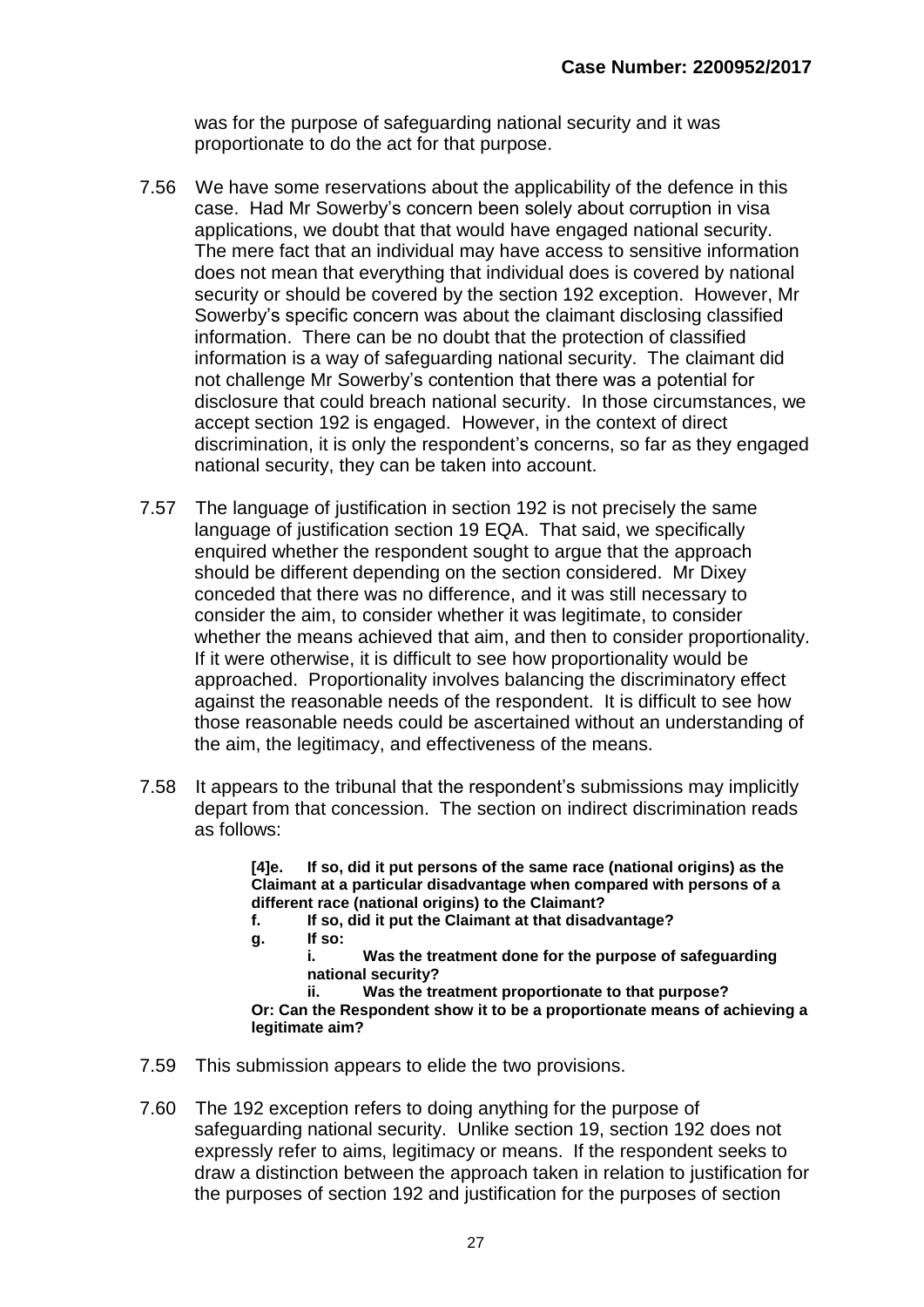was for the purpose of safeguarding national security and it was proportionate to do the act for that purpose.

- 7.56 We have some reservations about the applicability of the defence in this case. Had Mr Sowerby's concern been solely about corruption in visa applications, we doubt that that would have engaged national security. The mere fact that an individual may have access to sensitive information does not mean that everything that individual does is covered by national security or should be covered by the section 192 exception. However, Mr Sowerby's specific concern was about the claimant disclosing classified information. There can be no doubt that the protection of classified information is a way of safeguarding national security. The claimant did not challenge Mr Sowerby's contention that there was a potential for disclosure that could breach national security. In those circumstances, we accept section 192 is engaged. However, in the context of direct discrimination, it is only the respondent's concerns, so far as they engaged national security, they can be taken into account.
- 7.57 The language of justification in section 192 is not precisely the same language of justification section 19 EQA. That said, we specifically enquired whether the respondent sought to argue that the approach should be different depending on the section considered. Mr Dixey conceded that there was no difference, and it was still necessary to consider the aim, to consider whether it was legitimate, to consider whether the means achieved that aim, and then to consider proportionality. If it were otherwise, it is difficult to see how proportionality would be approached. Proportionality involves balancing the discriminatory effect against the reasonable needs of the respondent. It is difficult to see how those reasonable needs could be ascertained without an understanding of the aim, the legitimacy, and effectiveness of the means.
- 7.58 It appears to the tribunal that the respondent's submissions may implicitly depart from that concession. The section on indirect discrimination reads as follows:

**[4]e. If so, did it put persons of the same race (national origins) as the Claimant at a particular disadvantage when compared with persons of a different race (national origins) to the Claimant?**

- **f. If so, did it put the Claimant at that disadvantage?**
- **g. If so:**

**i. Was the treatment done for the purpose of safeguarding national security?**

**ii. Was the treatment proportionate to that purpose? Or: Can the Respondent show it to be a proportionate means of achieving a legitimate aim?**

- 7.59 This submission appears to elide the two provisions.
- 7.60 The 192 exception refers to doing anything for the purpose of safeguarding national security. Unlike section 19, section 192 does not expressly refer to aims, legitimacy or means. If the respondent seeks to draw a distinction between the approach taken in relation to justification for the purposes of section 192 and justification for the purposes of section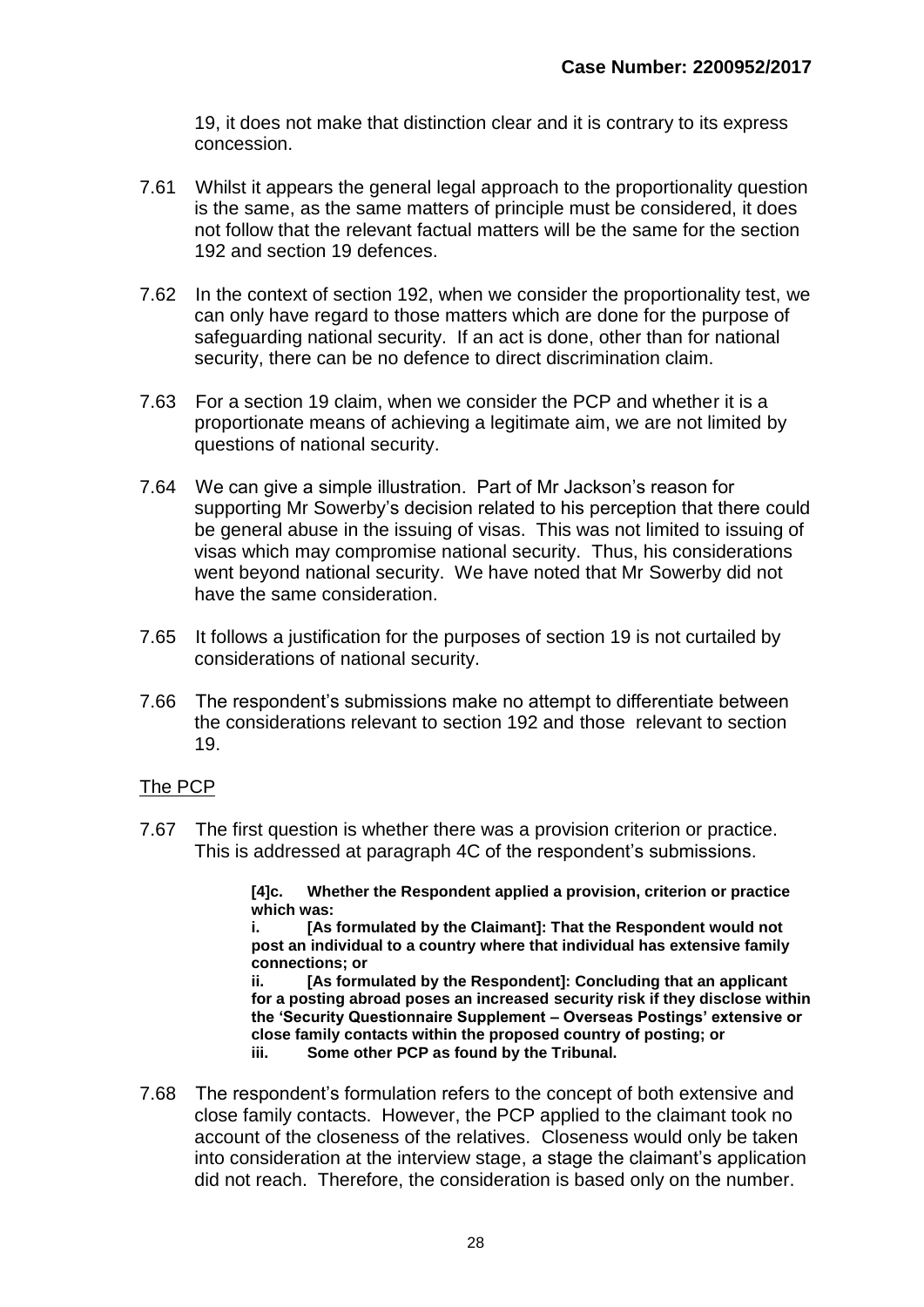19, it does not make that distinction clear and it is contrary to its express concession.

- 7.61 Whilst it appears the general legal approach to the proportionality question is the same, as the same matters of principle must be considered, it does not follow that the relevant factual matters will be the same for the section 192 and section 19 defences.
- 7.62 In the context of section 192, when we consider the proportionality test, we can only have regard to those matters which are done for the purpose of safeguarding national security. If an act is done, other than for national security, there can be no defence to direct discrimination claim.
- 7.63 For a section 19 claim, when we consider the PCP and whether it is a proportionate means of achieving a legitimate aim, we are not limited by questions of national security.
- 7.64 We can give a simple illustration. Part of Mr Jackson's reason for supporting Mr Sowerby's decision related to his perception that there could be general abuse in the issuing of visas. This was not limited to issuing of visas which may compromise national security. Thus, his considerations went beyond national security. We have noted that Mr Sowerby did not have the same consideration.
- 7.65 It follows a justification for the purposes of section 19 is not curtailed by considerations of national security.
- 7.66 The respondent's submissions make no attempt to differentiate between the considerations relevant to section 192 and those relevant to section 19.

#### The PCP

7.67 The first question is whether there was a provision criterion or practice. This is addressed at paragraph 4C of the respondent's submissions.

> **[4]c. Whether the Respondent applied a provision, criterion or practice which was:**

> **i. [As formulated by the Claimant]: That the Respondent would not post an individual to a country where that individual has extensive family connections; or**

**ii. [As formulated by the Respondent]: Concluding that an applicant for a posting abroad poses an increased security risk if they disclose within the 'Security Questionnaire Supplement – Overseas Postings' extensive or close family contacts within the proposed country of posting; or iii. Some other PCP as found by the Tribunal.**

7.68 The respondent's formulation refers to the concept of both extensive and close family contacts. However, the PCP applied to the claimant took no account of the closeness of the relatives. Closeness would only be taken into consideration at the interview stage, a stage the claimant's application did not reach. Therefore, the consideration is based only on the number.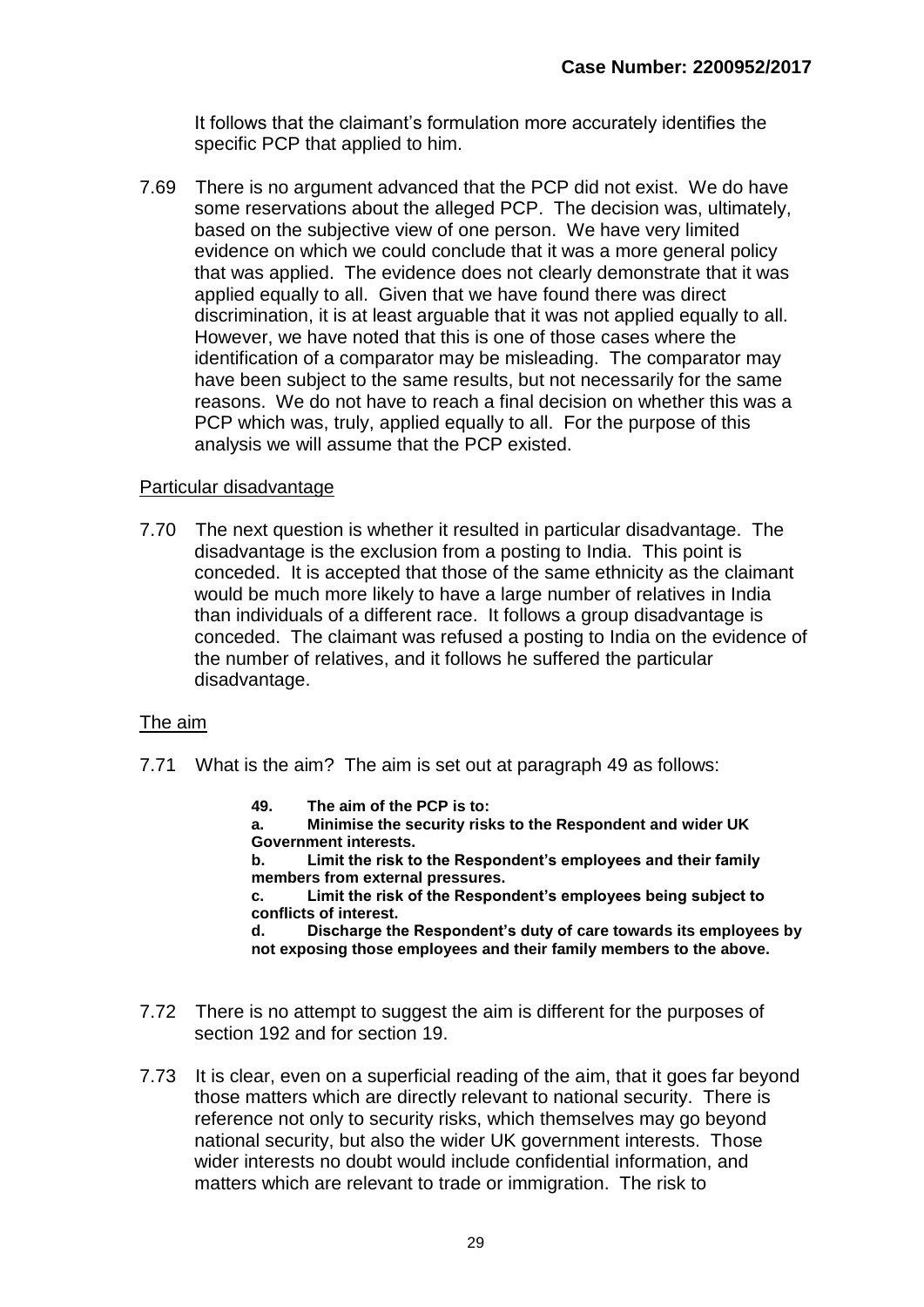It follows that the claimant's formulation more accurately identifies the specific PCP that applied to him.

7.69 There is no argument advanced that the PCP did not exist. We do have some reservations about the alleged PCP. The decision was, ultimately, based on the subjective view of one person. We have very limited evidence on which we could conclude that it was a more general policy that was applied. The evidence does not clearly demonstrate that it was applied equally to all. Given that we have found there was direct discrimination, it is at least arguable that it was not applied equally to all. However, we have noted that this is one of those cases where the identification of a comparator may be misleading. The comparator may have been subject to the same results, but not necessarily for the same reasons. We do not have to reach a final decision on whether this was a PCP which was, truly, applied equally to all. For the purpose of this analysis we will assume that the PCP existed.

#### Particular disadvantage

7.70 The next question is whether it resulted in particular disadvantage. The disadvantage is the exclusion from a posting to India. This point is conceded. It is accepted that those of the same ethnicity as the claimant would be much more likely to have a large number of relatives in India than individuals of a different race. It follows a group disadvantage is conceded. The claimant was refused a posting to India on the evidence of the number of relatives, and it follows he suffered the particular disadvantage.

#### The aim

- 7.71 What is the aim? The aim is set out at paragraph 49 as follows:
	- **49. The aim of the PCP is to:**
	- **a. Minimise the security risks to the Respondent and wider UK Government interests.**

**b. Limit the risk to the Respondent's employees and their family members from external pressures.**

**c. Limit the risk of the Respondent's employees being subject to conflicts of interest.**

**d. Discharge the Respondent's duty of care towards its employees by not exposing those employees and their family members to the above.**

- 7.72 There is no attempt to suggest the aim is different for the purposes of section 192 and for section 19.
- 7.73 It is clear, even on a superficial reading of the aim, that it goes far beyond those matters which are directly relevant to national security. There is reference not only to security risks, which themselves may go beyond national security, but also the wider UK government interests. Those wider interests no doubt would include confidential information, and matters which are relevant to trade or immigration. The risk to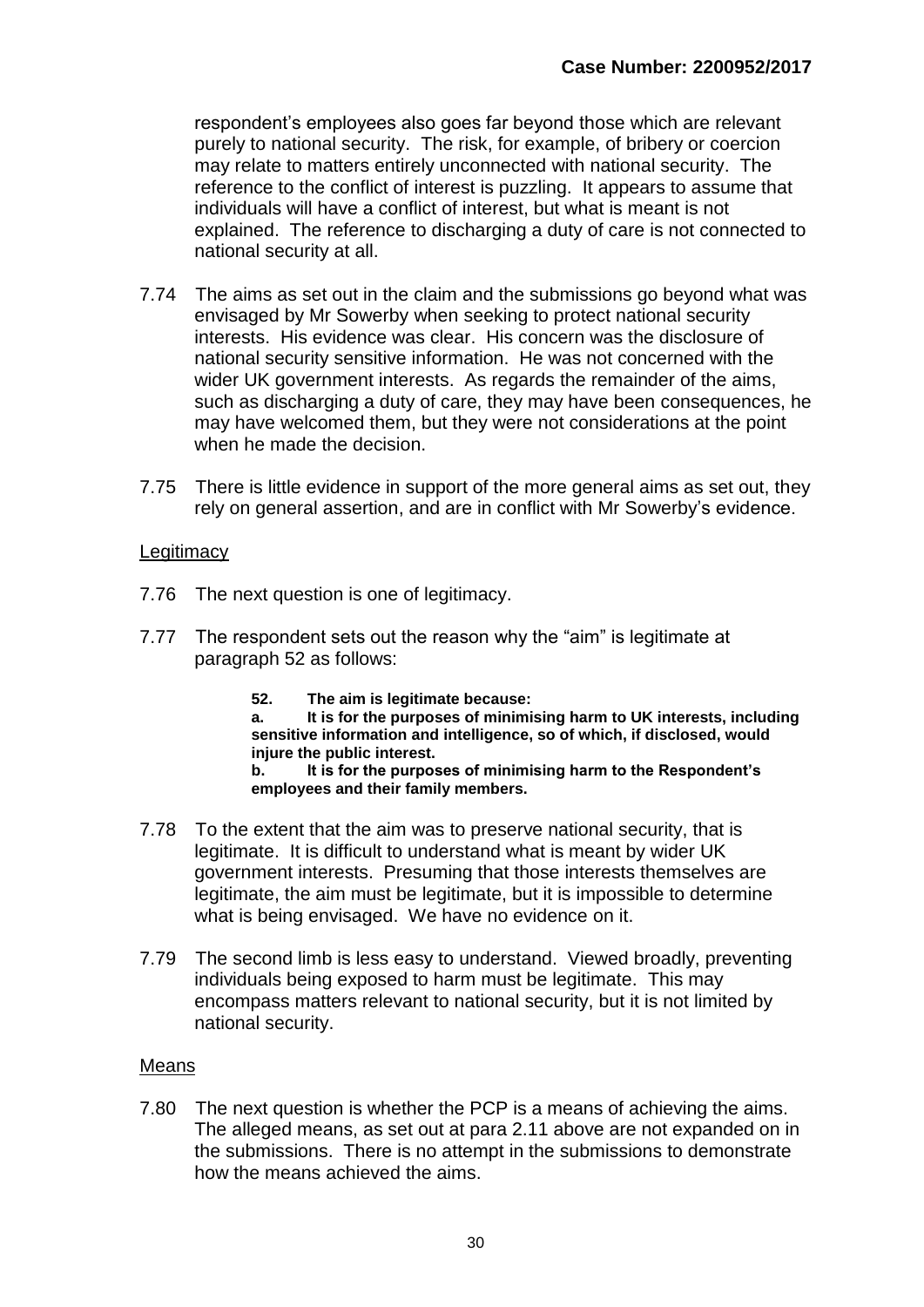respondent's employees also goes far beyond those which are relevant purely to national security. The risk, for example, of bribery or coercion may relate to matters entirely unconnected with national security. The reference to the conflict of interest is puzzling. It appears to assume that individuals will have a conflict of interest, but what is meant is not explained. The reference to discharging a duty of care is not connected to national security at all.

- 7.74 The aims as set out in the claim and the submissions go beyond what was envisaged by Mr Sowerby when seeking to protect national security interests. His evidence was clear. His concern was the disclosure of national security sensitive information. He was not concerned with the wider UK government interests. As regards the remainder of the aims, such as discharging a duty of care, they may have been consequences, he may have welcomed them, but they were not considerations at the point when he made the decision.
- 7.75 There is little evidence in support of the more general aims as set out, they rely on general assertion, and are in conflict with Mr Sowerby's evidence.

#### **Legitimacy**

- 7.76 The next question is one of legitimacy.
- 7.77 The respondent sets out the reason why the "aim" is legitimate at paragraph 52 as follows:
	- **52. The aim is legitimate because:**

**a. It is for the purposes of minimising harm to UK interests, including sensitive information and intelligence, so of which, if disclosed, would injure the public interest.**

**b. It is for the purposes of minimising harm to the Respondent's employees and their family members.**

- 7.78 To the extent that the aim was to preserve national security, that is legitimate. It is difficult to understand what is meant by wider UK government interests. Presuming that those interests themselves are legitimate, the aim must be legitimate, but it is impossible to determine what is being envisaged. We have no evidence on it.
- 7.79 The second limb is less easy to understand. Viewed broadly, preventing individuals being exposed to harm must be legitimate. This may encompass matters relevant to national security, but it is not limited by national security.

#### Means

7.80 The next question is whether the PCP is a means of achieving the aims. The alleged means, as set out at para 2.11 above are not expanded on in the submissions. There is no attempt in the submissions to demonstrate how the means achieved the aims.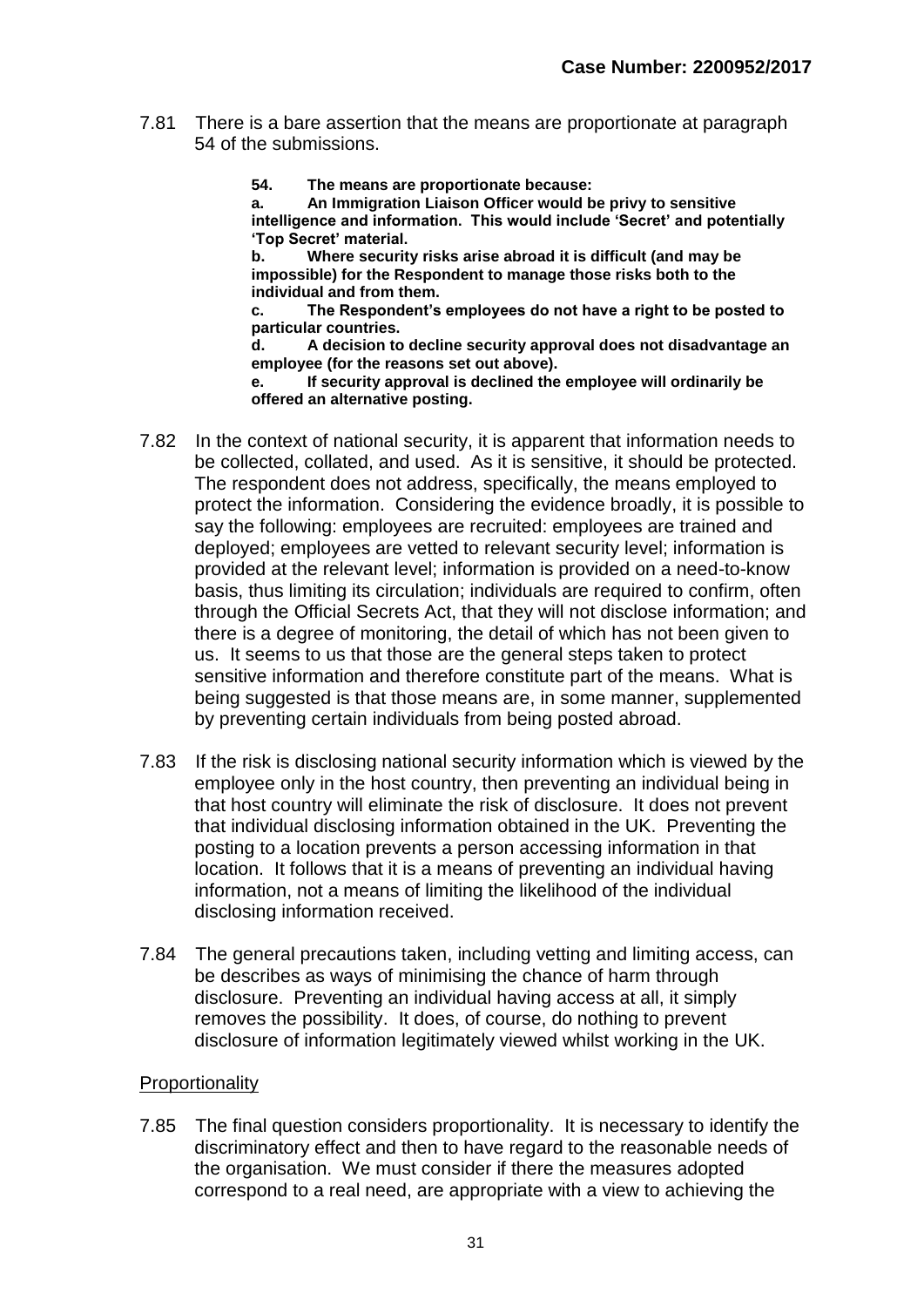- 7.81 There is a bare assertion that the means are proportionate at paragraph 54 of the submissions.
	- **54. The means are proportionate because:**

**a. An Immigration Liaison Officer would be privy to sensitive intelligence and information. This would include 'Secret' and potentially 'Top Secret' material.**

**b. Where security risks arise abroad it is difficult (and may be impossible) for the Respondent to manage those risks both to the individual and from them.**

**c. The Respondent's employees do not have a right to be posted to particular countries.**

**d. A decision to decline security approval does not disadvantage an employee (for the reasons set out above).**

**e. If security approval is declined the employee will ordinarily be offered an alternative posting.**

- 7.82 In the context of national security, it is apparent that information needs to be collected, collated, and used. As it is sensitive, it should be protected. The respondent does not address, specifically, the means employed to protect the information. Considering the evidence broadly, it is possible to say the following: employees are recruited: employees are trained and deployed; employees are vetted to relevant security level; information is provided at the relevant level; information is provided on a need-to-know basis, thus limiting its circulation; individuals are required to confirm, often through the Official Secrets Act, that they will not disclose information; and there is a degree of monitoring, the detail of which has not been given to us. It seems to us that those are the general steps taken to protect sensitive information and therefore constitute part of the means. What is being suggested is that those means are, in some manner, supplemented by preventing certain individuals from being posted abroad.
- 7.83 If the risk is disclosing national security information which is viewed by the employee only in the host country, then preventing an individual being in that host country will eliminate the risk of disclosure. It does not prevent that individual disclosing information obtained in the UK. Preventing the posting to a location prevents a person accessing information in that location. It follows that it is a means of preventing an individual having information, not a means of limiting the likelihood of the individual disclosing information received.
- 7.84 The general precautions taken, including vetting and limiting access, can be describes as ways of minimising the chance of harm through disclosure. Preventing an individual having access at all, it simply removes the possibility. It does, of course, do nothing to prevent disclosure of information legitimately viewed whilst working in the UK.

#### Proportionality

7.85 The final question considers proportionality. It is necessary to identify the discriminatory effect and then to have regard to the reasonable needs of the organisation. We must consider if there the measures adopted correspond to a real need, are appropriate with a view to achieving the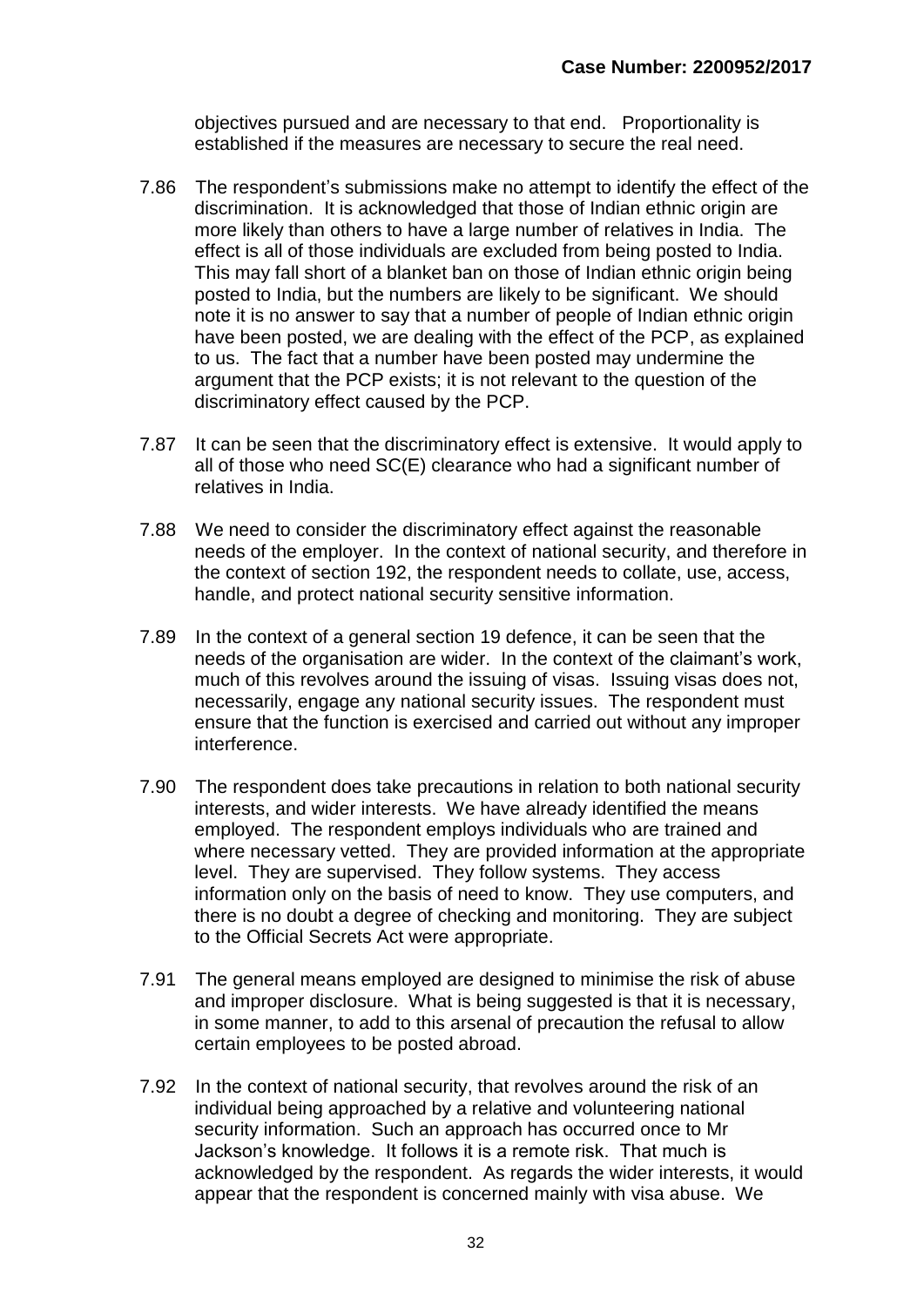objectives pursued and are necessary to that end. Proportionality is established if the measures are necessary to secure the real need.

- 7.86 The respondent's submissions make no attempt to identify the effect of the discrimination. It is acknowledged that those of Indian ethnic origin are more likely than others to have a large number of relatives in India. The effect is all of those individuals are excluded from being posted to India. This may fall short of a blanket ban on those of Indian ethnic origin being posted to India, but the numbers are likely to be significant. We should note it is no answer to say that a number of people of Indian ethnic origin have been posted, we are dealing with the effect of the PCP, as explained to us. The fact that a number have been posted may undermine the argument that the PCP exists; it is not relevant to the question of the discriminatory effect caused by the PCP.
- 7.87 It can be seen that the discriminatory effect is extensive. It would apply to all of those who need SC(E) clearance who had a significant number of relatives in India.
- 7.88 We need to consider the discriminatory effect against the reasonable needs of the employer. In the context of national security, and therefore in the context of section 192, the respondent needs to collate, use, access, handle, and protect national security sensitive information.
- 7.89 In the context of a general section 19 defence, it can be seen that the needs of the organisation are wider. In the context of the claimant's work, much of this revolves around the issuing of visas. Issuing visas does not, necessarily, engage any national security issues. The respondent must ensure that the function is exercised and carried out without any improper interference.
- 7.90 The respondent does take precautions in relation to both national security interests, and wider interests. We have already identified the means employed. The respondent employs individuals who are trained and where necessary vetted. They are provided information at the appropriate level. They are supervised. They follow systems. They access information only on the basis of need to know. They use computers, and there is no doubt a degree of checking and monitoring. They are subject to the Official Secrets Act were appropriate.
- 7.91 The general means employed are designed to minimise the risk of abuse and improper disclosure. What is being suggested is that it is necessary, in some manner, to add to this arsenal of precaution the refusal to allow certain employees to be posted abroad.
- 7.92 In the context of national security, that revolves around the risk of an individual being approached by a relative and volunteering national security information. Such an approach has occurred once to Mr Jackson's knowledge. It follows it is a remote risk. That much is acknowledged by the respondent. As regards the wider interests, it would appear that the respondent is concerned mainly with visa abuse. We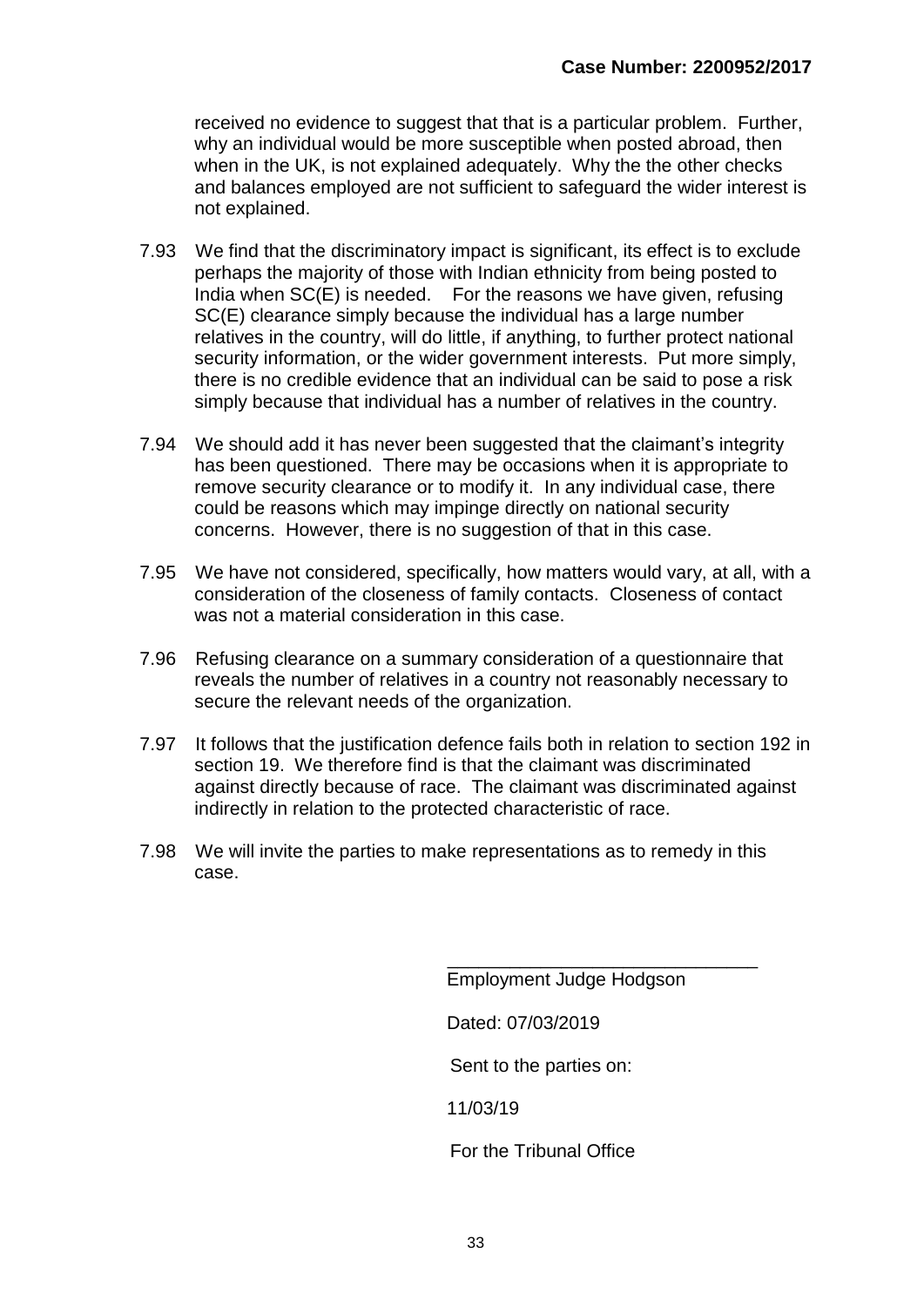received no evidence to suggest that that is a particular problem. Further, why an individual would be more susceptible when posted abroad, then when in the UK, is not explained adequately. Why the the other checks and balances employed are not sufficient to safeguard the wider interest is not explained.

- 7.93 We find that the discriminatory impact is significant, its effect is to exclude perhaps the majority of those with Indian ethnicity from being posted to India when SC(E) is needed. For the reasons we have given, refusing SC(E) clearance simply because the individual has a large number relatives in the country, will do little, if anything, to further protect national security information, or the wider government interests. Put more simply, there is no credible evidence that an individual can be said to pose a risk simply because that individual has a number of relatives in the country.
- 7.94 We should add it has never been suggested that the claimant's integrity has been questioned. There may be occasions when it is appropriate to remove security clearance or to modify it. In any individual case, there could be reasons which may impinge directly on national security concerns. However, there is no suggestion of that in this case.
- 7.95 We have not considered, specifically, how matters would vary, at all, with a consideration of the closeness of family contacts. Closeness of contact was not a material consideration in this case.
- 7.96 Refusing clearance on a summary consideration of a questionnaire that reveals the number of relatives in a country not reasonably necessary to secure the relevant needs of the organization.
- 7.97 It follows that the justification defence fails both in relation to section 192 in section 19. We therefore find is that the claimant was discriminated against directly because of race. The claimant was discriminated against indirectly in relation to the protected characteristic of race.
- 7.98 We will invite the parties to make representations as to remedy in this case.

Employment Judge Hodgson

\_\_\_\_\_\_\_\_\_\_\_\_\_\_\_\_\_\_\_\_\_\_\_\_\_\_\_\_\_\_

Dated: 07/03/2019

Sent to the parties on:

11/03/19

For the Tribunal Office